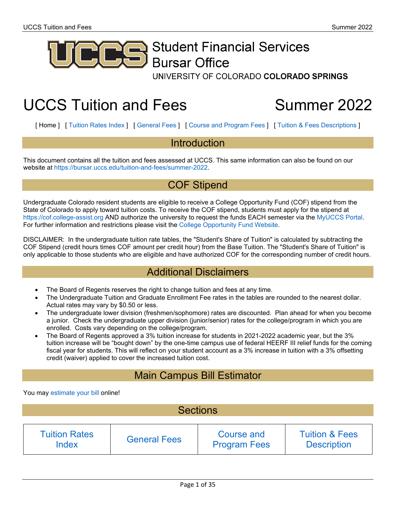<span id="page-0-0"></span>

# **Student Financial Services Bursar Office**

UNIVERSITY OF COLORADO COLORADO SPRINGS

# UCCS Tuition and Fees Summer 2022

[ Home ] [ [Tuition](#page-1-0) Rates Index ] [ [General](#page-14-0) Fees ] [ Course and [Program](#page-15-0) Fees ] [ Tuition & Fees [Descriptions](#page-21-0) ]

### Introduction

This document contains all the tuition and fees assessed at UCCS. This same information can also be found on our website at [https://bursar.uccs.edu/tuition-and-fees/summer-2022.](https://bursar.uccs.edu/tuition-and-fees/summer-2022)

## COF Stipend

Undergraduate Colorado resident students are eligible to receive a College Opportunity Fund (COF) stipend from the State of Colorado to apply toward tuition costs. To receive the COF stipend, students must apply for the stipend at [https://cof.college-assist.org](https://cof.college-assist.org/) AND authorize the university to request the funds EACH semester via the [MyUCCS Portal.](https://portal.prod.cu.edu/MyUCCSFedAuthLogin.html) For further information and restrictions please visit the [College Opportunity Fund Website.](https://cof.college-assist.org/)

DISCLAIMER: In the undergraduate tuition rate tables, the "Student's Share of Tuition" is calculated by subtracting the COF Stipend (credit hours times COF amount per credit hour) from the Base Tuition. The "Student's Share of Tuition" is only applicable to those students who are eligible and have authorized COF for the corresponding number of credit hours.

## Additional Disclaimers

- The Board of Regents reserves the right to change tuition and fees at any time.
- The Undergraduate Tuition and Graduate Enrollment Fee rates in the tables are rounded to the nearest dollar. Actual rates may vary by \$0.50 or less.
- The undergraduate lower division (freshmen/sophomore) rates are discounted. Plan ahead for when you become a junior. Check the undergraduate upper division (junior/senior) rates for the college/program in which you are enrolled. Costs vary depending on the college/program.
- The Board of Regents approved a 3% tuition increase for students in 2021-2022 academic year, but the 3% tuition increase will be "bought down" by the one-time campus use of federal HEERF III relief funds for the coming fiscal year for students. This will reflect on your student account as a 3% increase in tuition with a 3% offsetting credit (waiver) applied to cover the increased tuition cost.

# Main Campus Bill Estimator

You may [estimate your bill](https://www.uccs.edu/bursar/estimate-your-bill) online!

| <b>Sections</b>      |                     |                     |                           |  |  |  |
|----------------------|---------------------|---------------------|---------------------------|--|--|--|
| <b>Tuition Rates</b> | <b>General Fees</b> | <b>Course and</b>   | <b>Tuition &amp; Fees</b> |  |  |  |
| <b>Index</b>         |                     | <b>Program Fees</b> | <b>Description</b>        |  |  |  |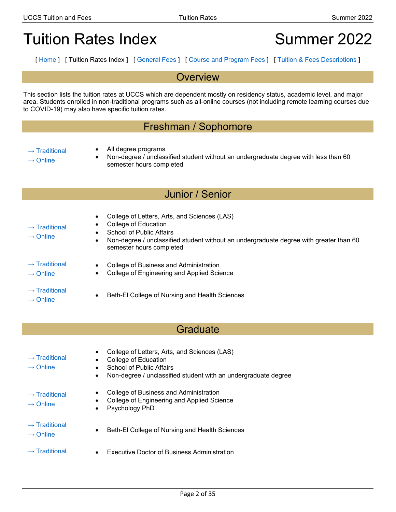# <span id="page-1-0"></span>Tuition Rates Index **Summer 2022**

[ [Home](#page-0-0) ] [ Tuition Rates Index ] [ [General](#page-14-0) Fees ] [ Course and [Program](#page-15-0) Fees ] [ Tuition & Fees [Descriptions](#page-21-0) ]

### **Overview**

This section lists the tuition rates at UCCS which are dependent mostly on residency status, academic level, and major area. Students enrolled in non-traditional programs such as all-online courses (not including remote learning courses due to COVID-19) may also have specific tuition rates.

## Freshman / Sophomore

- $\rightarrow$  [Traditional](#page-2-0)
- All degree programs
- $\rightarrow$  [Online](#page-3-0)
- Non-degree / unclassified student without an undergraduate degree with less than 60

semester hours completed

## Junior / Senior

• Non-degree / unclassified student without an undergraduate degree with greater than 60

| $\rightarrow$ Traditional |
|---------------------------|
|                           |

- College of Education
- $\rightarrow$  [Online](#page-5-0)
- School of Public Affairs
- $\rightarrow$  [Traditional](#page-6-0)
- College of Business and Administration

semester hours completed

- College of Engineering and Applied Science
- $\rightarrow$  [Traditional](#page-8-0)
- 

 $\rightarrow$  [Online](#page-7-0)

→ Healtonal<br>
→ [Online](#page-9-0) • Beth-El College of Nursing and Health Sciences

• College of Letters, Arts, and Sciences (LAS)

## **Graduate**

 $\rightarrow$  [Traditional](#page-10-0)  $\rightarrow$  [Online](#page-10-0) • College of Letters, Arts, and Sciences (LAS) • College of Education School of Public Affairs • Non-degree / unclassified student with an undergraduate degree  $\rightarrow$  [Traditional](#page-11-0)  $\rightarrow$  [Online](#page-11-0) • College of Business and Administration • College of Engineering and Applied Science Psychology PhD  $\rightarrow$  [Traditional](#page-12-0) → Deth-El College of Nursing and Health Sciences<br>→ [Online](#page-12-0)  $\rightarrow$  [Traditional](#page-13-0) • Executive Doctor of Business Administration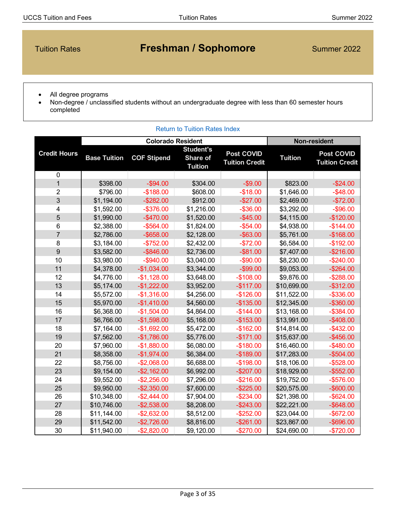# <span id="page-2-0"></span>Tuition Rates **Freshman / Sophomore** Summer 2022

- All degree programs
- Non-degree / unclassified students without an undergraduate degree with less than 60 semester hours completed

#### [Return to Tuition Rates Index](#page-1-0) **Base Tuition COF Stipend Student's Share of Tuition Post COVID Tuition Credit Tuition Post COVID Tuition Credit** 0 1 \$398.00 -\$94.00 \$304.00 -\$9.00 \$823.00 -\$24.00 2 | \$796.00 |-\$188.00 | \$608.00 | -\$18.00 | \$1,646.00 | -\$48.00 3 \$1,194.00 -\$282.00 \$912.00 -\$27.00 \$2,469.00 -\$72.00 4 | \$1,592.00 | -\$376.00 | \$1,216.00 | -\$36.00 | \$3,292.00 | -\$96.00 5 \$1,990.00 -\$470.00 \$1,520.00 -\$45.00 \$4,115.00 -\$120.00 6 | \$2,388.00 | -\$564.00 | \$1,824.00 | -\$54.00 | \$4,938.00 | -\$144.00 7 | \$2,786.00 -\$658.00 \$2,128.00 -\$63.00 | \$5,761.00 -\$168.00 8 | \$3,184.00 | -\$752.00 | \$2,432.00 | -\$72.00 | \$6,584.00 | -\$192.00 9 \$3,582.00 -\$846.00 \$2,736.00 -\$81.00 \$7,407.00 -\$216.00 10 | \$3,980.00 | -\$940.00 | \$3,040.00 | -\$90.00 | \$8,230.00 | -\$240.00 11 \$4,378.00 -\$1,034.00 \$3,344.00 -\$99.00 \$9,053.00 -\$264.00 12 \$4,776.00 -\$1,128.00 \$3,648.00 -\$108.00 | \$9,876.00 -\$288.00 13 \$5,174.00 -\$1,222.00 \$3,952.00 -\$117.00 \$10,699.00 -\$312.00 14 | \$5,572.00 | -\$1,316.00 | \$4,256.00 | -\$126.00 | \$11,522.00 | -\$336.00 15 \$5,970.00 -\$1,410.00 \$4,560.00 -\$135.00 \$12,345.00 -\$360.00 16 | \$6,368.00 | -\$1,504.00 | \$4,864.00 | -\$144.00 | \$13,168.00 | -\$384.00 17 \$6,766.00 -\$1,598.00 \$5,168.00 -\$153.00 \$13,991.00 -\$408.00 18 | \$7,164.00 | -\$1,692.00 | \$5,472.00 | -\$162.00 | \$14,814.00 | -\$432.00 19 \$7,562.00 -\$1,786.00 \$5,776.00 -\$171.00 \$15,637.00 -\$456.00 20 | \$7,960.00 | -\$1,880.00 | \$6,080.00 | -\$180.00 | \$16,460.00 | -\$480.00 21 \$8,358.00 -\$1,974.00 \$6,384.00 -\$189.00 \$17,283.00 -\$504.00 22 \$8,756.00 -\$2,068.00 \$6,688.00 -\$198.00 | \$18,106.00 | -\$528.00 23 \$9,154.00 -\$2,162.00 \$6,992.00 -\$207.00 \$18,929.00 -\$552.00 24 | \$9,552.00 | -\$2,256.00 | \$7,296.00 | -\$216.00 | \$19,752.00 | -\$576.00 25 \$9,950.00 -\$2,350.00 \$7,600.00 -\$225.00 \$20,575.00 -\$600.00 26 | \$10,348.00 | -\$2,444.00 | \$7,904.00 | -\$234.00 | \$21,398.00 | -\$624.00 27 | \$10,746.00 -\$2,538.00 \$8,208.00 -\$243.00 | \$22,221.00 -\$648.00 28 | \$11,144.00 | -\$2,632.00 | \$8,512.00 | -\$252.00 | \$23,044.00 | -\$672.00 29 \$11,542.00 -\$2,726.00 \$8,816.00 -\$261.00 \$23,867.00 -\$696.00 30 \$11,940.00 -\$2,820.00 \$9,120.00 -\$270.00 \$24,690.00 -\$720.00 **Credit Hours Colorado Resident Non-resident**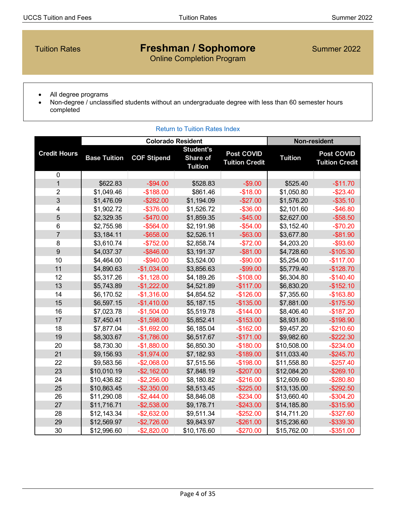# <span id="page-3-0"></span>Tuition Rates **Freshman / Sophomore** Summer 2022

Online Completion Program

- All degree programs
- Non-degree / unclassified students without an undergraduate degree with less than 60 semester hours completed

|                     |                     | <b>Colorado Resident</b> |                                                |                                            |                | <b>Non-resident</b>                        |
|---------------------|---------------------|--------------------------|------------------------------------------------|--------------------------------------------|----------------|--------------------------------------------|
| <b>Credit Hours</b> | <b>Base Tuition</b> | <b>COF Stipend</b>       | <b>Student's</b><br>Share of<br><b>Tuition</b> | <b>Post COVID</b><br><b>Tuition Credit</b> | <b>Tuition</b> | <b>Post COVID</b><br><b>Tuition Credit</b> |
| 0                   |                     |                          |                                                |                                            |                |                                            |
| $\mathbf{1}$        | \$622.83            | $-$ \$94.00              | \$528.83                                       | $-$9.00$                                   | \$525.40       | $-$11.70$                                  |
| $\overline{2}$      | \$1,049.46          | $-$188.00$               | \$861.46                                       | $-$18.00$                                  | \$1,050.80     | $-$ \$23.40                                |
| 3                   | \$1,476.09          | $-$ \$282.00             | \$1,194.09                                     | $-$27.00$                                  | \$1,576.20     | $-$ \$35.10                                |
| 4                   | \$1,902.72          | $-$ \$376.00             | \$1,526.72                                     | $-$ \$36.00                                | \$2,101.60     | $-$ \$46.80                                |
| $\overline{5}$      | \$2,329.35          | $-$470.00$               | \$1,859.35                                     | $-$ \$45.00                                | \$2,627.00     | $-$ \$58.50                                |
| 6                   | \$2,755.98          | $-$ \$564.00             | \$2,191.98                                     | $-$ \$54.00                                | \$3,152.40     | $-$70.20$                                  |
| $\overline{7}$      | \$3,184.11          | $-$ \$658.00             | \$2,526.11                                     | $-$ \$63.00                                | \$3,677.80     | $-$ \$81.90                                |
| 8                   | \$3,610.74          | $-$752.00$               | \$2,858.74                                     | $-$72.00$                                  | \$4,203.20     | $-$ \$93.60                                |
| 9                   | \$4,037.37          | $-$ \$846.00             | \$3,191.37                                     | $-$ \$81.00                                | \$4,728.60     | $-$105.30$                                 |
| 10                  | \$4,464.00          | $-$ \$940.00             | \$3,524.00                                     | $-$ \$90.00                                | \$5,254.00     | $-$117.00$                                 |
| 11                  | \$4,890.63          | $-$1,034.00$             | \$3,856.63                                     | $-$ \$99.00                                | \$5,779.40     | $-$128.70$                                 |
| 12                  | \$5,317.26          | $-$1,128.00$             | \$4,189.26                                     | $-$108.00$                                 | \$6,304.80     | $-$140.40$                                 |
| 13                  | \$5,743.89          | $-$1,222.00$             | \$4,521.89                                     | $-$117.00$                                 | \$6,830.20     | $-$152.10$                                 |
| 14                  | \$6,170.52          | $-$1,316.00$             | \$4,854.52                                     | $-$126.00$                                 | \$7,355.60     | $-$163.80$                                 |
| 15                  | \$6,597.15          | $-$1,410.00$             | \$5,187.15                                     | $-$135.00$                                 | \$7,881.00     | $-$175.50$                                 |
| 16                  | \$7,023.78          | $-$1,504.00$             | \$5,519.78                                     | $-$144.00$                                 | \$8,406.40     | $-$187.20$                                 |
| 17                  | \$7,450.41          | $-$1,598.00$             | \$5,852.41                                     | $-$153.00$                                 | \$8,931.80     | $-$198.90$                                 |
| 18                  | \$7,877.04          | $-$1,692.00$             | \$6,185.04                                     | $-$162.00$                                 | \$9,457.20     | $-$210.60$                                 |
| 19                  | \$8,303.67          | $-$1,786.00$             | \$6,517.67                                     | $-$171.00$                                 | \$9,982.60     | $-$ \$222.30                               |
| 20                  | \$8,730.30          | $-$1,880.00$             | \$6,850.30                                     | $-$180.00$                                 | \$10,508.00    | $-$ \$234.00                               |
| 21                  | \$9,156.93          | $-$1,974.00$             | \$7,182.93                                     | $-$189.00$                                 | \$11,033.40    | $-$ \$245.70                               |
| 22                  | \$9,583.56          | $-$2,068.00$             | \$7,515.56                                     | $-$198.00$                                 | \$11,558.80    | $-$ \$257.40                               |
| 23                  | \$10,010.19         | $-$ \$2,162.00           | \$7,848.19                                     | $-$207.00$                                 | \$12,084.20    | $-$ \$269.10                               |
| 24                  | \$10,436.82         | $-$ \$2,256.00           | \$8,180.82                                     | $-$216.00$                                 | \$12,609.60    | $-$280.80$                                 |
| 25                  | \$10,863.45         | $-$ \$2,350.00           | \$8,513.45                                     | $-$ \$225.00                               | \$13,135.00    | $-$ \$292.50                               |
| 26                  | \$11,290.08         | $-$2,444.00$             | \$8,846.08                                     | $-$234.00$                                 | \$13,660.40    | $-$ \$304.20                               |
| 27                  | \$11,716.71         | $-$ \$2,538.00           | \$9,178.71                                     | $-$ \$243.00                               | \$14,185.80    | $-$ \$315.90                               |
| 28                  | \$12,143.34         | $-$ \$2,632.00           | \$9,511.34                                     | $-$ \$252.00                               | \$14,711.20    | $-$ \$327.60                               |
| 29                  | \$12,569.97         | $-$2,726.00$             | \$9,843.97                                     | $-$ \$261.00                               | \$15,236.60    | $-$ \$339.30                               |
| 30                  | \$12,996.60         | $-$2,820.00$             | \$10,176.60                                    | $-$270.00$                                 | \$15,762.00    | $-$ \$351.00                               |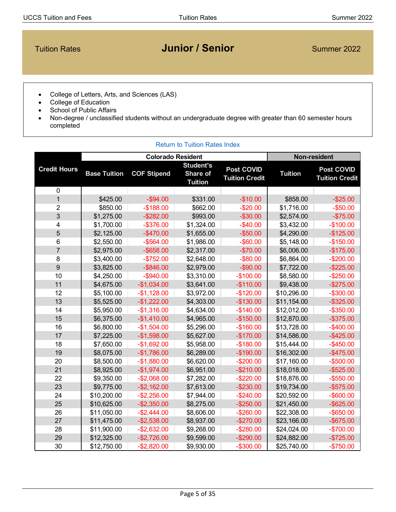# <span id="page-4-0"></span>**Tuition Rates Concrete Concrete Concrete Concrete Concrete Concrete Concrete Concrete Concrete Concrete Concrete Concrete Concrete Concrete Concrete Concrete Concrete Concrete Concrete Concrete Concrete Concrete Concrete**

- College of Letters, Arts, and Sciences (LAS)
- College of Education
- School of Public Affairs
- Non-degree / unclassified students without an undergraduate degree with greater than 60 semester hours completed

|                     |                     | <b>Colorado Resident</b> | <b>Non-resident</b>                            |                                            |                |                                            |
|---------------------|---------------------|--------------------------|------------------------------------------------|--------------------------------------------|----------------|--------------------------------------------|
| <b>Credit Hours</b> | <b>Base Tuition</b> | <b>COF Stipend</b>       | <b>Student's</b><br>Share of<br><b>Tuition</b> | <b>Post COVID</b><br><b>Tuition Credit</b> | <b>Tuition</b> | <b>Post COVID</b><br><b>Tuition Credit</b> |
| $\pmb{0}$           |                     |                          |                                                |                                            |                |                                            |
| $\mathbf{1}$        | \$425.00            | $-$ \$94.00              | \$331.00                                       | $-$10.00$                                  | \$858.00       | $-$25.00$                                  |
| $\overline{2}$      | \$850.00            | $-$188.00$               | \$662.00                                       | $-$20.00$                                  | \$1,716.00     | $-$50.00$                                  |
| 3                   | \$1,275.00          | $-$282.00$               | \$993.00                                       | $-$ \$30.00                                | \$2,574.00     | $-$75.00$                                  |
| 4                   | \$1,700.00          | $-$ \$376.00             | \$1,324.00                                     | $-$40.00$                                  | \$3,432.00     | $-$100.00$                                 |
| 5                   | \$2,125.00          | $-$470.00$               | \$1,655.00                                     | $-$50.00$                                  | \$4,290.00     | $-$125.00$                                 |
| 6                   | \$2,550.00          | $-$ \$564.00             | \$1,986.00                                     | $-$ \$60.00                                | \$5,148.00     | $-$150.00$                                 |
| $\overline{7}$      | \$2,975.00          | $-$ \$658.00             | \$2,317.00                                     | $-$70.00$                                  | \$6,006.00     | $-$175.00$                                 |
| 8                   | \$3,400.00          | $-$752.00$               | \$2,648.00                                     | $-$ \$80.00                                | \$6,864.00     | $-$200.00$                                 |
| 9                   | \$3,825.00          | $-$ \$846.00             | \$2,979.00                                     | $-$ \$90.00                                | \$7,722.00     | $-$ \$225.00                               |
| 10                  | \$4,250.00          | $-$ \$940.00             | \$3,310.00                                     | $-$100.00$                                 | \$8,580.00     | $-$250.00$                                 |
| 11                  | \$4,675.00          | $-$1,034.00$             | \$3,641.00                                     | $-$110.00$                                 | \$9,438.00     | $-$275.00$                                 |
| 12                  | \$5,100.00          | $-$1,128.00$             | \$3,972.00                                     | $-$120.00$                                 | \$10,296.00    | $-$ \$300.00                               |
| 13                  | \$5,525.00          | $-$1,222.00$             | \$4,303.00                                     | $-$130.00$                                 | \$11,154.00    | $-$ \$325.00                               |
| 14                  | \$5,950.00          | $-$1,316.00$             | \$4,634.00                                     | $-$140.00$                                 | \$12,012.00    | $-$ \$350.00                               |
| 15                  | \$6,375.00          | $-$1,410.00$             | \$4,965.00                                     | $-$150.00$                                 | \$12,870.00    | $-$ \$375.00                               |
| 16                  | \$6,800.00          | $-$1,504.00$             | \$5,296.00                                     | $-$160.00$                                 | \$13,728.00    | $-$ \$400.00                               |
| 17                  | \$7,225.00          | $-$1,598.00$             | \$5,627.00                                     | $-$170.00$                                 | \$14,586.00    | $-$ \$425.00                               |
| 18                  | \$7,650.00          | $-$1,692.00$             | \$5,958.00                                     | $-$180.00$                                 | \$15,444.00    | $-$ \$450.00                               |
| 19                  | \$8,075.00          | $-$1,786.00$             | \$6,289.00                                     | $-$190.00$                                 | \$16,302.00    | $-$ \$475.00                               |
| 20                  | \$8,500.00          | $-$1,880.00$             | \$6,620.00                                     | $-$200.00$                                 | \$17,160.00    | $-$ \$500.00                               |
| 21                  | \$8,925.00          | $-$1,974.00$             | \$6,951.00                                     | $-$210.00$                                 | \$18,018.00    | $-$ \$525.00                               |
| 22                  | \$9,350.00          | $-$2,068.00$             | \$7,282.00                                     | $-$ \$220.00                               | \$18,876.00    | $-$ \$550.00                               |
| 23                  | \$9,775.00          | $-$ \$2,162.00           | \$7,613.00                                     | $-$230.00$                                 | \$19,734.00    | $-$ \$575.00                               |
| 24                  | \$10,200.00         | $-$ \$2,256.00           | \$7,944.00                                     | $-$240.00$                                 | \$20,592.00    | $-$ \$600.00                               |
| 25                  | \$10,625.00         | $-$ \$2,350.00           | \$8,275.00                                     | $-$250.00$                                 | \$21,450.00    | $-$ \$625.00                               |
| 26                  | \$11,050.00         | $-$2,444.00$             | \$8,606.00                                     | $-$260.00$                                 | \$22,308.00    | $-$ \$650.00                               |
| 27                  | \$11,475.00         | $-$ \$2,538.00           | \$8,937.00                                     | $-$270.00$                                 | \$23,166.00    | $-$ \$675.00                               |
| 28                  | \$11,900.00         | $-$2,632.00$             | \$9,268.00                                     | $-$280.00$                                 | \$24,024.00    | $-$700.00$                                 |
| 29                  | \$12,325.00         | $-$2,726.00$             | \$9,599.00                                     | $-$290.00$                                 | \$24,882.00    | $-$725.00$                                 |
| 30                  | \$12,750.00         | $-$2,820.00$             | \$9,930.00                                     | $-$300.00$                                 | \$25,740.00    | $-$750.00$                                 |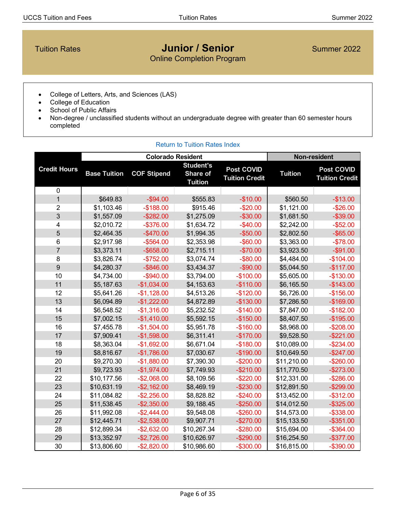## <span id="page-5-0"></span>**Tuition Rates Concrete Concrete Concrete Concrete Concrete Concrete Concrete Concrete Concrete Concrete Concrete Concrete Concrete Concrete Concrete Concrete Concrete Concrete Concrete Concrete Concrete Concrete Concrete** Online Completion Program

- College of Letters, Arts, and Sciences (LAS)
- College of Education
- School of Public Affairs
- Non-degree / unclassified students without an undergraduate degree with greater than 60 semester hours completed

|                     |                     | <b>Colorado Resident</b> |                                                | Non-resident                               |                |                                            |
|---------------------|---------------------|--------------------------|------------------------------------------------|--------------------------------------------|----------------|--------------------------------------------|
| <b>Credit Hours</b> | <b>Base Tuition</b> | <b>COF Stipend</b>       | <b>Student's</b><br>Share of<br><b>Tuition</b> | <b>Post COVID</b><br><b>Tuition Credit</b> | <b>Tuition</b> | <b>Post COVID</b><br><b>Tuition Credit</b> |
| 0                   |                     |                          |                                                |                                            |                |                                            |
| $\overline{1}$      | \$649.83            | $-$ \$94.00              | \$555.83                                       | $-$10.00$                                  | \$560.50       | $-$13.00$                                  |
| $\overline{2}$      | \$1,103.46          | $-$188.00$               | \$915.46                                       | $-$20.00$                                  | \$1,121.00     | $-$26.00$                                  |
| $\overline{3}$      | \$1,557.09          | $-$ \$282.00             | \$1,275.09                                     | $-$ \$30.00                                | \$1,681.50     | $-$ \$39.00                                |
| 4                   | \$2,010.72          | $-$ \$376.00             | \$1,634.72                                     | $-$40.00$                                  | \$2,242.00     | $-$ \$52.00                                |
| 5                   | \$2,464.35          | $-$470.00$               | \$1,994.35                                     | $-$ \$50.00                                | \$2,802.50     | $-$ \$65.00                                |
| 6                   | \$2,917.98          | $-$ \$564.00             | \$2,353.98                                     | $-$ \$60.00                                | \$3,363.00     | $-$78.00$                                  |
| $\overline{7}$      | \$3,373.11          | $-$ \$658.00             | \$2,715.11                                     | $-$70.00$                                  | \$3,923.50     | $-$ \$91.00                                |
| 8                   | \$3,826.74          | $-$752.00$               | \$3,074.74                                     | $-$ \$80.00                                | \$4,484.00     | $-$104.00$                                 |
| 9                   | \$4,280.37          | $-$ \$846.00             | \$3,434.37                                     | $-$ \$90.00                                | \$5,044.50     | $-$117.00$                                 |
| 10                  | \$4,734.00          | $-$ \$940.00             | \$3,794.00                                     | $-$100.00$                                 | \$5,605.00     | $-$130.00$                                 |
| 11                  | \$5,187.63          | $-$1,034.00$             | \$4,153.63                                     | $-$110.00$                                 | \$6,165.50     | $-$143.00$                                 |
| 12                  | \$5,641.26          | $-$1,128.00$             | \$4,513.26                                     | $-$120.00$                                 | \$6,726.00     | $-$156.00$                                 |
| 13                  | \$6,094.89          | $-$1,222.00$             | \$4,872.89                                     | $-$130.00$                                 | \$7,286.50     | $-$169.00$                                 |
| 14                  | \$6,548.52          | $-$1,316.00$             | \$5,232.52                                     | $-$140.00$                                 | \$7,847.00     | $-$182.00$                                 |
| 15                  | \$7,002.15          | $-$1,410.00$             | \$5,592.15                                     | $-$150.00$                                 | \$8,407.50     | $-$195.00$                                 |
| 16                  | \$7,455.78          | $-$1,504.00$             | \$5,951.78                                     | $-$160.00$                                 | \$8,968.00     | $-$208.00$                                 |
| 17                  | \$7,909.41          | $-$1,598.00$             | \$6,311.41                                     | $-$170.00$                                 | \$9,528.50     | $-$ \$221.00                               |
| 18                  | \$8,363.04          | $-$1,692.00$             | \$6,671.04                                     | $-$180.00$                                 | \$10,089.00    | $-$ \$234.00                               |
| 19                  | \$8,816.67          | $-$1,786.00$             | \$7,030.67                                     | $-$190.00$                                 | \$10,649.50    | $-$247.00$                                 |
| 20                  | \$9,270.30          | $-$1,880.00$             | \$7,390.30                                     | $-$200.00$                                 | \$11,210.00    | $-$260.00$                                 |
| 21                  | \$9,723.93          | $-$1,974.00$             | \$7,749.93                                     | $-$210.00$                                 | \$11,770.50    | $-$273.00$                                 |
| 22                  | \$10,177.56         | $-$2,068.00$             | \$8,109.56                                     | $-$ \$220.00                               | \$12,331.00    | $-$286.00$                                 |
| 23                  | \$10,631.19         | $-$ \$2,162.00           | \$8,469.19                                     | $-$230.00$                                 | \$12,891.50    | $-$299.00$                                 |
| 24                  | \$11,084.82         | $-$ \$2,256.00           | \$8,828.82                                     | $-$240.00$                                 | \$13,452.00    | $-$ \$312.00                               |
| 25                  | \$11,538.45         | $-$ \$2,350.00           | \$9,188.45                                     | $-$250.00$                                 | \$14,012.50    | $-$ \$325.00                               |
| 26                  | \$11,992.08         | $-$2,444.00$             | \$9,548.08                                     | $-$260.00$                                 | \$14,573.00    | $-$ \$338.00                               |
| 27                  | \$12,445.71         | $-$2,538.00$             | \$9,907.71                                     | $-$270.00$                                 | \$15,133.50    | $-$ \$351.00                               |
| 28                  | \$12,899.34         | $-$ \$2,632.00           | \$10,267.34                                    | $-$280.00$                                 | \$15,694.00    | $-$ \$364.00                               |
| 29                  | \$13,352.97         | $-$2,726.00$             | \$10,626.97                                    | $-$290.00$                                 | \$16,254.50    | $-$ \$377.00                               |
| 30                  | \$13,806.60         | $-$2,820.00$             | \$10,986.60                                    | $-$ \$300.00                               | \$16,815.00    | $-$ \$390.00                               |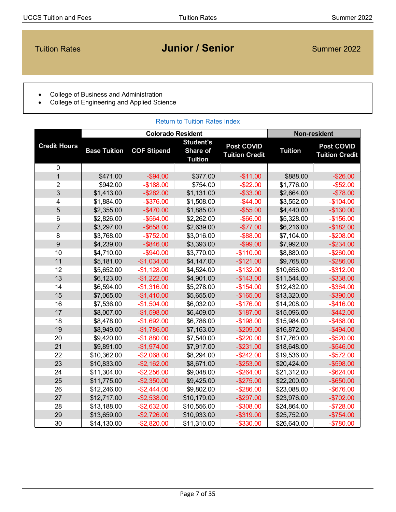# <span id="page-6-0"></span>**Tuition Rates Concrete Concrete Concrete Concrete Concrete Concrete Concrete Concrete Concrete Concrete Concrete Concrete Concrete Concrete Concrete Concrete Concrete Concrete Concrete Concrete Concrete Concrete Concrete**

- College of Business and Administration
- College of Engineering and Applied Science

| <b>Return to Tuition Rates Index</b> |                     |                          |                                                |                                            |                     |                                            |
|--------------------------------------|---------------------|--------------------------|------------------------------------------------|--------------------------------------------|---------------------|--------------------------------------------|
|                                      |                     | <b>Colorado Resident</b> |                                                |                                            | <b>Non-resident</b> |                                            |
| <b>Credit Hours</b>                  | <b>Base Tuition</b> | <b>COF Stipend</b>       | <b>Student's</b><br>Share of<br><b>Tuition</b> | <b>Post COVID</b><br><b>Tuition Credit</b> | <b>Tuition</b>      | <b>Post COVID</b><br><b>Tuition Credit</b> |
| $\mathbf 0$                          |                     |                          |                                                |                                            |                     |                                            |
| $\overline{1}$                       | \$471.00            | $-$94.00$                | \$377.00                                       | $-$11.00$                                  | \$888.00            | $-$26.00$                                  |
| $\overline{2}$                       | \$942.00            | $-$188.00$               | \$754.00                                       | $-$ \$22.00                                | \$1,776.00          | $-$ \$52.00                                |
| 3                                    | \$1,413.00          | $-$ \$282.00             | \$1,131.00                                     | $-$ \$33.00                                | \$2,664.00          | $-$78.00$                                  |
| 4                                    | \$1,884.00          | $-$ \$376.00             | \$1,508.00                                     | $-$ \$44.00                                | \$3,552.00          | $-$104.00$                                 |
| 5                                    | \$2,355.00          | $-$470.00$               | \$1,885.00                                     | $-$ \$55.00                                | \$4,440.00          | $-$130.00$                                 |
| 6                                    | \$2,826.00          | $-$ \$564.00             | \$2,262.00                                     | $-$ \$66.00                                | \$5,328.00          | $-$156.00$                                 |
| $\overline{7}$                       | \$3,297.00          | $-$ \$658.00             | \$2,639.00                                     | $-$77.00$                                  | \$6,216.00          | $-$182.00$                                 |
| 8                                    | \$3,768.00          | $-$752.00$               | \$3,016.00                                     | $-$ \$88.00                                | \$7,104.00          | $-$208.00$                                 |
| 9                                    | \$4,239.00          | $-$ \$846.00             | \$3,393.00                                     | $-$ \$99.00                                | \$7,992.00          | $-$ \$234.00                               |
| 10                                   | \$4,710.00          | $-$ \$940.00             | \$3,770.00                                     | $-$110.00$                                 | \$8,880.00          | $-$260.00$                                 |
| 11                                   | \$5,181.00          | $-$1,034.00$             | \$4,147.00                                     | $-$121.00$                                 | \$9,768.00          | $-$ \$286.00                               |
| 12                                   | \$5,652.00          | $-$1,128.00$             | \$4,524.00                                     | $-$132.00$                                 | \$10,656.00         | $-$ \$312.00                               |
| 13                                   | \$6,123.00          | $-$1,222.00$             | \$4,901.00                                     | $-$143.00$                                 | \$11,544.00         | $-$ \$338.00                               |
| 14                                   | \$6,594.00          | $-$1,316.00$             | \$5,278.00                                     | $-$154.00$                                 | \$12,432.00         | $-$ \$364.00                               |
| 15                                   | \$7,065.00          | $-$1,410.00$             | \$5,655.00                                     | $-$165.00$                                 | \$13,320.00         | $-$ \$390.00                               |
| 16                                   | \$7,536.00          | $-$1,504.00$             | \$6,032.00                                     | $-$176.00$                                 | \$14,208.00         | $-$ \$416.00                               |
| 17                                   | \$8,007.00          | $-$1,598.00$             | \$6,409.00                                     | $-$187.00$                                 | \$15,096.00         | $-$ \$442.00                               |
| 18                                   | \$8,478.00          | $-$1,692.00$             | \$6,786.00                                     | $-$198.00$                                 | \$15,984.00         | $-$ \$468.00                               |
| 19                                   | \$8,949.00          | $-$1,786.00$             | \$7,163.00                                     | $-$209.00$                                 | \$16,872.00         | $-$ \$494.00                               |
| 20                                   | \$9,420.00          | $-$1,880.00$             | \$7,540.00                                     | $-$220.00$                                 | \$17,760.00         | $-$ \$520.00                               |
| 21                                   | \$9,891.00          | $-$1,974.00$             | \$7,917.00                                     | $-$231.00$                                 | \$18,648.00         | $-$ \$546.00                               |
| 22                                   | \$10,362.00         | $-$2,068.00$             | \$8,294.00                                     | $-$242.00$                                 | \$19,536.00         | $-$ \$572.00                               |
| 23                                   | \$10,833.00         | $-$ \$2,162.00           | \$8,671.00                                     | $-$253.00$                                 | \$20,424.00         | $-$ \$598.00                               |
| 24                                   | \$11,304.00         | $-$ \$2,256.00           | \$9,048.00                                     | $-$264.00$                                 | \$21,312.00         | $-$ \$624.00                               |
| 25                                   | \$11,775.00         | $-$ \$2,350.00           | \$9,425.00                                     | $-$275.00$                                 | \$22,200.00         | $-$ \$650.00                               |
| 26                                   | \$12,246.00         | $-$2,444.00$             | \$9,802.00                                     | $-$286.00$                                 | \$23,088.00         | $-$ \$676.00                               |
| 27                                   | \$12,717.00         | $-$2,538.00$             | \$10,179.00                                    | $-$297.00$                                 | \$23,976.00         | $-$702.00$                                 |
| 28                                   | \$13,188.00         | $-$ \$2,632.00           | \$10,556.00                                    | $-$308.00$                                 | \$24,864.00         | $-$728.00$                                 |
| 29                                   | \$13,659.00         | $-$2,726.00$             | \$10,933.00                                    | $-$ \$319.00                               | \$25,752.00         | $-$754.00$                                 |
| 30                                   | \$14,130.00         | $-$2,820.00$             | \$11,310.00                                    | $-$ \$330.00                               | \$26,640.00         | $-$780.00$                                 |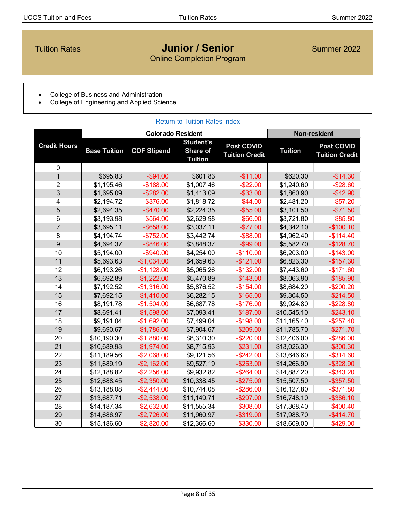## <span id="page-7-0"></span>**Tuition Rates Construction Construction Construction Construction Construction Construction Construction Construction Construction Construction Construction Construction Construction Construction Construction Construction** Online Completion Program

- College of Business and Administration
- College of Engineering and Applied Science

| <b>Return to Tuition Rates Index</b> |                     |                    |                                                |                                            |                |                                            |
|--------------------------------------|---------------------|--------------------|------------------------------------------------|--------------------------------------------|----------------|--------------------------------------------|
|                                      |                     |                    |                                                | <b>Non-resident</b>                        |                |                                            |
| <b>Credit Hours</b>                  | <b>Base Tuition</b> | <b>COF Stipend</b> | <b>Student's</b><br>Share of<br><b>Tuition</b> | <b>Post COVID</b><br><b>Tuition Credit</b> | <b>Tuition</b> | <b>Post COVID</b><br><b>Tuition Credit</b> |
| 0                                    |                     |                    |                                                |                                            |                |                                            |
| $\overline{1}$                       | \$695.83            | $-$94.00$          | \$601.83                                       | $-$11.00$                                  | \$620.30       | $-$14.30$                                  |
| $\overline{2}$                       | \$1,195.46          | $-$188.00$         | \$1,007.46                                     | $-$ \$22.00                                | \$1,240.60     | $-$ \$28.60                                |
| 3                                    | \$1,695.09          | $-$282.00$         | \$1,413.09                                     | $-$ \$33.00                                | \$1,860.90     | $-$ \$42.90                                |
| 4                                    | \$2,194.72          | $-$ \$376.00       | \$1,818.72                                     | $-$ \$44.00                                | \$2,481.20     | $-$ \$57.20                                |
| $\overline{5}$                       | \$2,694.35          | $-$ \$470.00       | \$2,224.35                                     | $-$ \$55.00                                | \$3,101.50     | $-$71.50$                                  |
| 6                                    | \$3,193.98          | $-$ \$564.00       | \$2,629.98                                     | $-$ \$66.00                                | \$3,721.80     | $-$ \$85.80                                |
| $\overline{7}$                       | \$3,695.11          | $-$ \$658.00       | \$3,037.11                                     | $-$77.00$                                  | \$4,342.10     | $-$100.10$                                 |
| 8                                    | \$4,194.74          | $-$752.00$         | \$3,442.74                                     | $-$ \$88.00                                | \$4,962.40     | $-$114.40$                                 |
| 9                                    | \$4,694.37          | $-$ \$846.00       | \$3,848.37                                     | $-$ \$99.00                                | \$5,582.70     | $-$128.70$                                 |
| 10                                   | \$5,194.00          | $-$ \$940.00       | \$4,254.00                                     | $-$110.00$                                 | \$6,203.00     | $-$143.00$                                 |
| 11                                   | \$5,693.63          | $-$1,034.00$       | \$4,659.63                                     | $-$121.00$                                 | \$6,823.30     | $-$157.30$                                 |
| 12                                   | \$6,193.26          | $-$1,128.00$       | \$5,065.26                                     | $-$132.00$                                 | \$7,443.60     | $-$171.60$                                 |
| 13                                   | \$6,692.89          | $-$1,222.00$       | \$5,470.89                                     | $-$143.00$                                 | \$8,063.90     | $-$185.90$                                 |
| 14                                   | \$7,192.52          | $-$1,316.00$       | \$5,876.52                                     | $-$154.00$                                 | \$8,684.20     | $-$200.20$                                 |
| 15                                   | \$7,692.15          | $-$1,410.00$       | \$6,282.15                                     | $-$165.00$                                 | \$9,304.50     | $-$214.50$                                 |
| 16                                   | \$8,191.78          | $-$1,504.00$       | \$6,687.78                                     | $-$176.00$                                 | \$9,924.80     | $-$ \$228.80                               |
| 17                                   | \$8,691.41          | $-$1,598.00$       | \$7,093.41                                     | $-$187.00$                                 | \$10,545.10    | $-$ \$243.10                               |
| 18                                   | \$9,191.04          | $-$1,692.00$       | \$7,499.04                                     | $-$198.00$                                 | \$11,165.40    | $-$ \$257.40                               |
| 19                                   | \$9,690.67          | $-$1,786.00$       | \$7,904.67                                     | $-$209.00$                                 | \$11,785.70    | $-$271.70$                                 |
| 20                                   | \$10,190.30         | $-$1,880.00$       | \$8,310.30                                     | $-$220.00$                                 | \$12,406.00    | $-$ \$286.00                               |
| 21                                   | \$10,689.93         | $-$1,974.00$       | \$8,715.93                                     | $-$ \$231.00                               | \$13,026.30    | $-$ \$300.30                               |
| 22                                   | \$11,189.56         | $-$2,068.00$       | \$9,121.56                                     | $-$242.00$                                 | \$13,646.60    | $-$ \$314.60                               |
| 23                                   | \$11,689.19         | $-$ \$2,162.00     | \$9,527.19                                     | $-$253.00$                                 | \$14,266.90    | $-$ \$328.90                               |
| 24                                   | \$12,188.82         | $-$ \$2,256.00     | \$9,932.82                                     | $-$264.00$                                 | \$14,887.20    | $-$ \$343.20                               |
| 25                                   | \$12,688.45         | $-$ \$2,350.00     | \$10,338.45                                    | $-$275.00$                                 | \$15,507.50    | $-$ \$357.50                               |
| 26                                   | \$13,188.08         | $-$2,444.00$       | \$10,744.08                                    | $-$286.00$                                 | \$16,127.80    | $-$ \$371.80                               |
| 27                                   | \$13,687.71         | $-$2,538.00$       | \$11,149.71                                    | $-$297.00$                                 | \$16,748.10    | $-$ \$386.10                               |
| 28                                   | \$14,187.34         | $-$ \$2,632.00     | \$11,555.34                                    | $-$308.00$                                 | \$17,368.40    | $-$400.40$                                 |
| 29                                   | \$14,686.97         | $-$2,726.00$       | \$11,960.97                                    | $-$ \$319.00                               | \$17,988.70    | $-$414.70$                                 |
| 30                                   | \$15,186.60         | $-$2,820.00$       | \$12,366.60                                    | $-$ \$330.00                               | \$18,609.00    | $-$ \$429.00                               |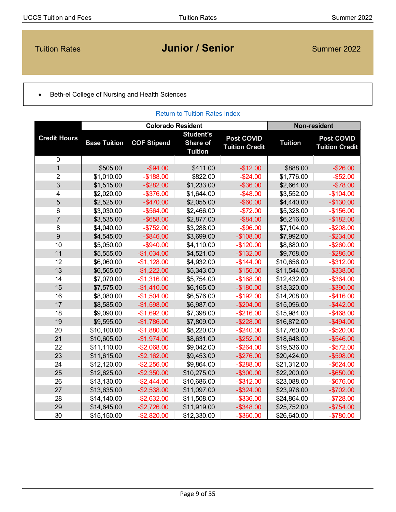# <span id="page-8-0"></span>**Tuition Rates Concernsive Concernsive Concernsive Concernsive Concernsive Concernsive Concernsive Concernsive Concernsive Concernsive Concernsive Concernsive Concernsive Concernsive Concernsive Concernsive Concernsive Con**

### • Beth-el College of Nursing and Health Sciences

| <b>Return to Tuition Rates Index</b> |                     |                    |                                                |                                            |                |                                            |
|--------------------------------------|---------------------|--------------------|------------------------------------------------|--------------------------------------------|----------------|--------------------------------------------|
|                                      |                     |                    |                                                | <b>Non-resident</b>                        |                |                                            |
| <b>Credit Hours</b>                  | <b>Base Tuition</b> | <b>COF Stipend</b> | <b>Student's</b><br>Share of<br><b>Tuition</b> | <b>Post COVID</b><br><b>Tuition Credit</b> | <b>Tuition</b> | <b>Post COVID</b><br><b>Tuition Credit</b> |
| $\pmb{0}$                            |                     |                    |                                                |                                            |                |                                            |
| $\overline{1}$                       | \$505.00            | $-$ \$94.00        | \$411.00                                       | $-$12.00$                                  | \$888.00       | $-$26.00$                                  |
| $\overline{2}$                       | \$1,010.00          | $-$188.00$         | \$822.00                                       | $-$24.00$                                  | \$1,776.00     | $-$ \$52.00                                |
| 3                                    | \$1,515.00          | $-$ \$282.00       | \$1,233.00                                     | $-$ \$36.00                                | \$2,664.00     | $-$78.00$                                  |
| 4                                    | \$2,020.00          | $-$ \$376.00       | \$1,644.00                                     | $-$48.00$                                  | \$3,552.00     | $-$104.00$                                 |
| 5                                    | \$2,525.00          | $-$470.00$         | \$2,055.00                                     | $-$ \$60.00                                | \$4,440.00     | $-$130.00$                                 |
| $\,6$                                | \$3,030.00          | $-$564.00$         | \$2,466.00                                     | $-$72.00$                                  | \$5,328.00     | $-$156.00$                                 |
| $\overline{7}$                       | \$3,535.00          | $-$ \$658.00       | \$2,877.00                                     | $-$ \$84.00                                | \$6,216.00     | $-$182.00$                                 |
| 8                                    | \$4,040.00          | $-$752.00$         | \$3,288.00                                     | $-$ \$96.00                                | \$7,104.00     | $-$208.00$                                 |
| 9                                    | \$4,545.00          | $-$ \$846.00       | \$3,699.00                                     | $-$108.00$                                 | \$7,992.00     | $-$ \$234.00                               |
| 10                                   | \$5,050.00          | $-$ \$940.00       | \$4,110.00                                     | $-$120.00$                                 | \$8,880.00     | $-$260.00$                                 |
| 11                                   | \$5,555.00          | $-$1,034.00$       | \$4,521.00                                     | $-$132.00$                                 | \$9,768.00     | $-$ \$286.00                               |
| 12                                   | \$6,060.00          | $-$1,128.00$       | \$4,932.00                                     | $-$144.00$                                 | \$10,656.00    | $-$ \$312.00                               |
| 13                                   | \$6,565.00          | $-$1,222.00$       | \$5,343.00                                     | $-$156.00$                                 | \$11,544.00    | $-$ \$338.00                               |
| 14                                   | \$7,070.00          | $-$1,316.00$       | \$5,754.00                                     | $-$168.00$                                 | \$12,432.00    | $-$ \$364.00                               |
| 15                                   | \$7,575.00          | $-$1,410.00$       | \$6,165.00                                     | $-$180.00$                                 | \$13,320.00    | $-$ \$390.00                               |
| 16                                   | \$8,080.00          | $-$1,504.00$       | \$6,576.00                                     | $-$192.00$                                 | \$14,208.00    | $-$ \$416.00                               |
| 17                                   | \$8,585.00          | $-$1,598.00$       | \$6,987.00                                     | $-$204.00$                                 | \$15,096.00    | $-$ \$442.00                               |
| 18                                   | \$9,090.00          | $-$1,692.00$       | \$7,398.00                                     | $-$216.00$                                 | \$15,984.00    | $-$ \$468.00                               |
| 19                                   | \$9,595.00          | $-$1,786.00$       | \$7,809.00                                     | $-$ \$228.00                               | \$16,872.00    | $-$ \$494.00                               |
| 20                                   | \$10,100.00         | $-$1,880.00$       | \$8,220.00                                     | $-$240.00$                                 | \$17,760.00    | $-$ \$520.00                               |
| 21                                   | \$10,605.00         | $-$1,974.00$       | \$8,631.00                                     | $-$ \$252.00                               | \$18,648.00    | $-$ \$546.00                               |
| 22                                   | \$11,110.00         | $-$2,068.00$       | \$9,042.00                                     | $-$264.00$                                 | \$19,536.00    | $-$ \$572.00                               |
| 23                                   | \$11,615.00         | $-$ \$2,162.00     | \$9,453.00                                     | $-$276.00$                                 | \$20,424.00    | $-$ \$598.00                               |
| 24                                   | \$12,120.00         | $-$ \$2,256.00     | \$9,864.00                                     | $-$288.00$                                 | \$21,312.00    | $-$ \$624.00                               |
| 25                                   | \$12,625.00         | $-$2,350.00$       | \$10,275.00                                    | $-$300.00$                                 | \$22,200.00    | $-$ \$650.00                               |
| 26                                   | \$13,130.00         | $-$2,444.00$       | \$10,686.00                                    | $-$ \$312.00                               | \$23,088.00    | $-$ \$676.00                               |
| 27                                   | \$13,635.00         | $-$2,538.00$       | \$11,097.00                                    | $-$ \$324.00                               | \$23,976.00    | $-$702.00$                                 |
| 28                                   | \$14,140.00         | $-$ \$2,632.00     | \$11,508.00                                    | $-$ \$336.00                               | \$24,864.00    | $-$728.00$                                 |
| 29                                   | \$14,645.00         | $-$2,726.00$       | \$11,919.00                                    | $-$ \$348.00                               | \$25,752.00    | $-$754.00$                                 |
| 30                                   | \$15,150.00         | $-$2,820.00$       | \$12,330.00                                    | $-$ \$360.00                               | \$26,640.00    | $-$780.00$                                 |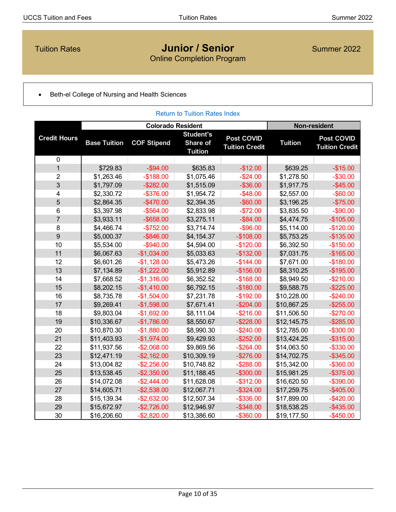## <span id="page-9-0"></span>**Tuition Rates Concrete Concrete Concrete Concrete Concrete Concrete Concrete Concrete Concrete Concrete Concrete Concrete Concrete Concrete Concrete Concrete Concrete Concrete Concrete Concrete Concrete Concrete Concrete** Online Completion Program

• Beth-el College of Nursing and Health Sciences

|                         |                     |                    | <b>Return to Tuition Rates Index</b>           |                                            |                |                                            |
|-------------------------|---------------------|--------------------|------------------------------------------------|--------------------------------------------|----------------|--------------------------------------------|
|                         |                     |                    | <b>Colorado Resident</b>                       |                                            |                | <b>Non-resident</b>                        |
| <b>Credit Hours</b>     | <b>Base Tuition</b> | <b>COF Stipend</b> | <b>Student's</b><br>Share of<br><b>Tuition</b> | <b>Post COVID</b><br><b>Tuition Credit</b> | <b>Tuition</b> | <b>Post COVID</b><br><b>Tuition Credit</b> |
| $\pmb{0}$               |                     |                    |                                                |                                            |                |                                            |
| $\mathbf{1}$            | \$729.83            | $-$ \$94.00        | \$635.83                                       | $-$12.00$                                  | \$639.25       | $-$15.00$                                  |
| $\overline{2}$          | \$1,263.46          | $-$188.00$         | \$1,075.46                                     | $-$24.00$                                  | \$1,278.50     | $-$30.00$                                  |
| 3                       | \$1,797.09          | $-$ \$282.00       | \$1,515.09                                     | $-$ \$36.00                                | \$1,917.75     | $-$ \$45.00                                |
| $\overline{\mathbf{4}}$ | \$2,330.72          | $-$ \$376.00       | \$1,954.72                                     | $-$48.00$                                  | \$2,557.00     | $-$ \$60.00                                |
| 5                       | \$2,864.35          | $-$ \$470.00       | \$2,394.35                                     | $-$ \$60.00                                | \$3,196.25     | $-$75.00$                                  |
| $\,6$                   | \$3,397.98          | $-$ \$564.00       | \$2,833.98                                     | $-$72.00$                                  | \$3,835.50     | $-$ \$90.00                                |
| $\overline{7}$          | \$3,933.11          | $-$ \$658.00       | \$3,275.11                                     | $-$ \$84.00                                | \$4,474.75     | $-$105.00$                                 |
| $\bf 8$                 | \$4,466.74          | $-$752.00$         | \$3,714.74                                     | $-$ \$96.00                                | \$5,114.00     | $-$120.00$                                 |
| 9                       | \$5,000.37          | $-$ \$846.00       | \$4,154.37                                     | $-$108.00$                                 | \$5,753.25     | $-$135.00$                                 |
| 10                      | \$5,534.00          | $-$ \$940.00       | \$4,594.00                                     | $-$120.00$                                 | \$6,392.50     | $-$150.00$                                 |
| 11                      | \$6,067.63          | $-$1,034.00$       | \$5,033.63                                     | $-$132.00$                                 | \$7,031.75     | $-$165.00$                                 |
| 12                      | \$6,601.26          | $-$1,128.00$       | \$5,473.26                                     | $-$144.00$                                 | \$7,671.00     | $-$180.00$                                 |
| 13                      | \$7,134.89          | $-$1,222.00$       | \$5,912.89                                     | $-$156.00$                                 | \$8,310.25     | $-$195.00$                                 |
| 14                      | \$7,668.52          | $-$1,316.00$       | \$6,352.52                                     | $-$168.00$                                 | \$8,949.50     | $-$ \$210.00                               |
| 15                      | \$8,202.15          | $-$1,410.00$       | \$6,792.15                                     | $-$180.00$                                 | \$9,588.75     | $-$ \$225.00                               |
| 16                      | \$8,735.78          | $-$1,504.00$       | \$7,231.78                                     | $-$192.00$                                 | \$10,228.00    | $-$240.00$                                 |
| 17                      | \$9,269.41          | $-$1,598.00$       | \$7,671.41                                     | $-$204.00$                                 | \$10,867.25    | $-$ \$255.00                               |
| 18                      | \$9,803.04          | $-$1,692.00$       | \$8,111.04                                     | $-$ \$216.00                               | \$11,506.50    | $-$270.00$                                 |
| 19                      | \$10,336.67         | $-$1,786.00$       | \$8,550.67                                     | $-$ \$228.00                               | \$12,145.75    | $-$ \$285.00                               |
| 20                      | \$10,870.30         | $-$1,880.00$       | \$8,990.30                                     | $-$240.00$                                 | \$12,785.00    | $-$ \$300.00                               |
| 21                      | \$11,403.93         | $-$1,974.00$       | \$9,429.93                                     | $-$ \$252.00                               | \$13,424.25    | $-$ \$315.00                               |
| 22                      | \$11,937.56         | $-$2,068.00$       | \$9,869.56                                     | $-$264.00$                                 | \$14,063.50    | $-$ \$330.00                               |
| 23                      | \$12,471.19         | $-$ \$2,162.00     | \$10,309.19                                    | $-$276.00$                                 | \$14,702.75    | $-$ \$345.00                               |
| 24                      | \$13,004.82         | $-$2,256.00$       | \$10,748.82                                    | $-$ \$288.00                               | \$15,342.00    | $-$ \$360.00                               |
| 25                      | \$13,538.45         | $-$ \$2,350.00     | \$11,188.45                                    | $-$ \$300.00                               | \$15,981.25    | $-$ \$375.00                               |
| 26                      | \$14,072.08         | $-$2,444.00$       | \$11,628.08                                    | $-$ \$312.00                               | \$16,620.50    | $-$ \$390.00                               |
| 27                      | \$14,605.71         | $-$ \$2,538.00     | \$12,067.71                                    | $-$ \$324.00                               | \$17,259.75    | $-$ \$405.00                               |
| 28                      | \$15,139.34         | $-$2,632.00$       | \$12,507.34                                    | $-$ \$336.00                               | \$17,899.00    | $-$ \$420.00                               |
| 29                      | \$15,672.97         | $-$2,726.00$       | \$12,946.97                                    | $-$ \$348.00                               | \$18,538.25    | $-$ \$435.00                               |
| 30                      | \$16,206.60         | $-$2,820.00$       | \$13,386.60                                    | $-$ \$360.00                               | \$19,177.50    | $-$ \$450.00                               |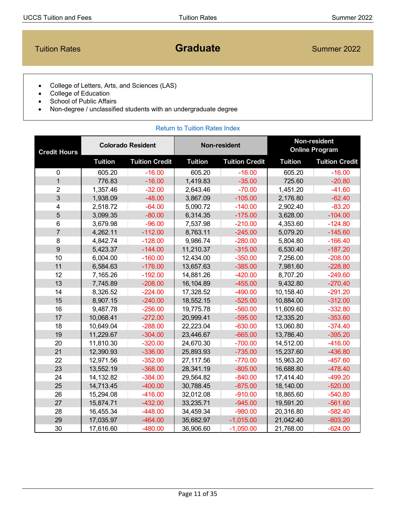<span id="page-10-0"></span>**Tuition Rates Construction Construction Construction Construction Construction Construction Construction Construction Construction Construction Construction Construction Construction Construction Construction Construction** 

- College of Letters, Arts, and Sciences (LAS)
- College of Education
- School of Public Affairs
- Non-degree / unclassified students with an undergraduate degree

| <b>Credit Hours</b>     | <b>Colorado Resident</b> |                       | <b>Non-resident</b> |                       | Non-resident<br><b>Online Program</b> |                       |
|-------------------------|--------------------------|-----------------------|---------------------|-----------------------|---------------------------------------|-----------------------|
|                         | <b>Tuition</b>           | <b>Tuition Credit</b> | <b>Tuition</b>      | <b>Tuition Credit</b> | <b>Tuition</b>                        | <b>Tuition Credit</b> |
| $\mathbf 0$             | 605.20                   | $-16.00$              | 605.20              | $-16.00$              | 605.20                                | $-16.00$              |
| $\overline{1}$          | 776.83                   | $-16.00$              | 1,419.83            | $-35.00$              | 725.60                                | $-20.80$              |
| $\overline{2}$          | 1,357.46                 | $-32.00$              | 2,643.46            | $-70.00$              | 1,451.20                              | $-41.60$              |
| 3                       | 1,938.09                 | $-48.00$              | 3,867.09            | $-105.00$             | 2,176.80                              | $-62.40$              |
| $\overline{\mathbf{4}}$ | 2,518.72                 | $-64.00$              | 5,090.72            | $-140.00$             | 2,902.40                              | $-83.20$              |
| 5                       | 3,099.35                 | $-80.00$              | 6,314.35            | $-175.00$             | 3,628.00                              | $-104.00$             |
| $\,6$                   | 3,679.98                 | $-96.00$              | 7,537.98            | $-210.00$             | 4,353.60                              | $-124.80$             |
| $\overline{7}$          | 4,262.11                 | $-112.00$             | 8,763.11            | $-245.00$             | 5,079.20                              | $-145.60$             |
| 8                       | 4,842.74                 | $-128.00$             | 9,986.74            | $-280.00$             | 5,804.80                              | $-166.40$             |
| $\overline{9}$          | 5,423.37                 | $-144.00$             | 11,210.37           | $-315.00$             | 6,530.40                              | $-187.20$             |
| 10                      | 6,004.00                 | $-160.00$             | 12,434.00           | $-350.00$             | 7,256.00                              | $-208.00$             |
| 11                      | 6,584.63                 | $-176.00$             | 13,657.63           | $-385.00$             | 7,981.60                              | $-228.80$             |
| 12                      | 7,165.26                 | $-192.00$             | 14,881.26           | $-420.00$             | 8,707.20                              | $-249.60$             |
| 13                      | 7,745.89                 | $-208.00$             | 16,104.89           | $-455.00$             | 9,432.80                              | $-270.40$             |
| 14                      | 8,326.52                 | $-224.00$             | 17,328.52           | $-490.00$             | 10,158.40                             | $-291.20$             |
| 15                      | 8,907.15                 | $-240.00$             | 18,552.15           | $-525.00$             | 10,884.00                             | $-312.00$             |
| 16                      | 9,487.78                 | $-256.00$             | 19,775.78           | $-560.00$             | 11,609.60                             | $-332.80$             |
| 17                      | 10,068.41                | $-272.00$             | 20,999.41           | $-595.00$             | 12,335.20                             | $-353.60$             |
| 18                      | 10,649.04                | $-288.00$             | 22,223.04           | $-630.00$             | 13,060.80                             | $-374.40$             |
| 19                      | 11,229.67                | $-304.00$             | 23,446.67           | $-665.00$             | 13,786.40                             | $-395.20$             |
| 20                      | 11,810.30                | $-320.00$             | 24,670.30           | $-700.00$             | 14,512.00                             | $-416.00$             |
| 21                      | 12,390.93                | $-336.00$             | 25,893.93           | $-735.00$             | 15,237.60                             | $-436.80$             |
| 22                      | 12,971.56                | $-352.00$             | 27,117.56           | $-770.00$             | 15,963.20                             | $-457.60$             |
| 23                      | 13,552.19                | $-368.00$             | 28,341.19           | $-805.00$             | 16,688.80                             | $-478.40$             |
| 24                      | 14, 132.82               | $-384.00$             | 29,564.82           | $-840.00$             | 17,414.40                             | $-499.20$             |
| 25                      | 14,713.45                | $-400.00$             | 30,788.45           | $-875.00$             | 18,140.00                             | $-520.00$             |
| 26                      | 15,294.08                | $-416.00$             | 32,012.08           | $-910.00$             | 18,865.60                             | $-540.80$             |
| 27                      | 15,874.71                | $-432.00$             | 33,235.71           | $-945.00$             | 19,591.20                             | $-561.60$             |
| 28                      | 16,455.34                | $-448.00$             | 34,459.34           | $-980.00$             | 20,316.80                             | $-582.40$             |
| 29                      | 17,035.97                | $-464.00$             | 35,682.97           | $-1,015.00$           | 21,042.40                             | $-603.20$             |
| 30                      | 17,616.60                | $-480.00$             | 36,906.60           | $-1,050.00$           | 21,768.00                             | $-624.00$             |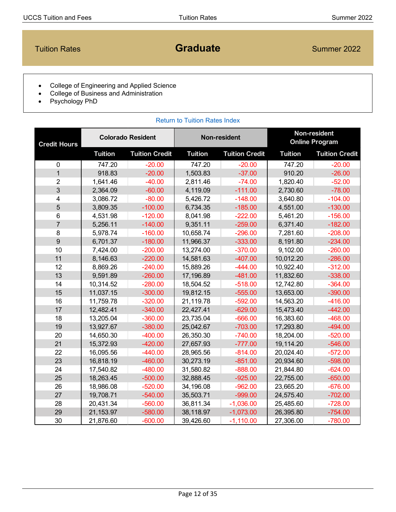# <span id="page-11-0"></span>**Tuition Rates Craduate Graduate** Summer 2022

- College of Engineering and Applied Science
- College of Business and Administration
- Psychology PhD

| <b>Colorado Resident</b><br><b>Credit Hours</b> |                |                       | <b>Non-resident</b> | Non-resident<br><b>Online Program</b> |                |                       |
|-------------------------------------------------|----------------|-----------------------|---------------------|---------------------------------------|----------------|-----------------------|
|                                                 | <b>Tuition</b> | <b>Tuition Credit</b> | <b>Tuition</b>      | <b>Tuition Credit</b>                 | <b>Tuition</b> | <b>Tuition Credit</b> |
| $\mathbf 0$                                     | 747.20         | $-20.00$              | 747.20              | $-20.00$                              | 747.20         | $-20.00$              |
| $\overline{1}$                                  | 918.83         | $-20.00$              | 1,503.83            | $-37.00$                              | 910.20         | $-26.00$              |
| $\overline{2}$                                  | 1,641.46       | $-40.00$              | 2,811.46            | $-74.00$                              | 1,820.40       | $-52.00$              |
| 3                                               | 2,364.09       | $-60.00$              | 4,119.09            | $-111.00$                             | 2,730.60       | $-78.00$              |
| 4                                               | 3,086.72       | $-80.00$              | 5,426.72            | $-148.00$                             | 3,640.80       | $-104.00$             |
| 5                                               | 3,809.35       | $-100.00$             | 6,734.35            | $-185.00$                             | 4,551.00       | $-130.00$             |
| 6                                               | 4,531.98       | $-120.00$             | 8,041.98            | $-222.00$                             | 5,461.20       | $-156.00$             |
| $\overline{7}$                                  | 5,256.11       | $-140.00$             | 9,351.11            | $-259.00$                             | 6,371.40       | $-182.00$             |
| 8                                               | 5,978.74       | $-160.00$             | 10,658.74           | $-296.00$                             | 7,281.60       | $-208.00$             |
| 9                                               | 6,701.37       | $-180.00$             | 11,966.37           | $-333.00$                             | 8,191.80       | $-234.00$             |
| 10                                              | 7,424.00       | $-200.00$             | 13,274.00           | $-370.00$                             | 9,102.00       | $-260.00$             |
| 11                                              | 8,146.63       | $-220.00$             | 14,581.63           | $-407.00$                             | 10,012.20      | $-286.00$             |
| 12                                              | 8,869.26       | $-240.00$             | 15,889.26           | $-444.00$                             | 10,922.40      | $-312.00$             |
| 13                                              | 9,591.89       | $-260.00$             | 17,196.89           | $-481.00$                             | 11,832.60      | $-338.00$             |
| 14                                              | 10,314.52      | $-280.00$             | 18,504.52           | $-518.00$                             | 12,742.80      | $-364.00$             |
| 15                                              | 11,037.15      | $-300.00$             | 19,812.15           | $-555.00$                             | 13,653.00      | $-390.00$             |
| 16                                              | 11,759.78      | $-320.00$             | 21,119.78           | $-592.00$                             | 14,563.20      | $-416.00$             |
| 17                                              | 12,482.41      | $-340.00$             | 22,427.41           | $-629.00$                             | 15,473.40      | $-442.00$             |
| 18                                              | 13,205.04      | $-360.00$             | 23,735.04           | $-666.00$                             | 16,383.60      | $-468.00$             |
| 19                                              | 13,927.67      | $-380.00$             | 25,042.67           | $-703.00$                             | 17,293.80      | $-494.00$             |
| 20                                              | 14,650.30      | $-400.00$             | 26,350.30           | $-740.00$                             | 18,204.00      | $-520.00$             |
| 21                                              | 15,372.93      | $-420.00$             | 27,657.93           | $-777.00$                             | 19,114.20      | $-546.00$             |
| 22                                              | 16,095.56      | $-440.00$             | 28,965.56           | $-814.00$                             | 20,024.40      | $-572.00$             |
| 23                                              | 16,818.19      | $-460.00$             | 30,273.19           | $-851.00$                             | 20,934.60      | $-598.00$             |
| 24                                              | 17,540.82      | $-480.00$             | 31,580.82           | $-888.00$                             | 21,844.80      | $-624.00$             |
| 25                                              | 18,263.45      | $-500.00$             | 32,888.45           | $-925.00$                             | 22,755.00      | $-650.00$             |
| 26                                              | 18,986.08      | $-520.00$             | 34,196.08           | $-962.00$                             | 23,665.20      | $-676.00$             |
| 27                                              | 19,708.71      | $-540.00$             | 35,503.71           | $-999.00$                             | 24,575.40      | $-702.00$             |
| 28                                              | 20,431.34      | $-560.00$             | 36,811.34           | $-1,036.00$                           | 25,485.60      | $-728.00$             |
| 29                                              | 21,153.97      | $-580.00$             | 38,118.97           | $-1,073.00$                           | 26,395.80      | $-754.00$             |
| 30                                              | 21,876.60      | $-600.00$             | 39,426.60           | $-1,110.00$                           | 27,306.00      | $-780.00$             |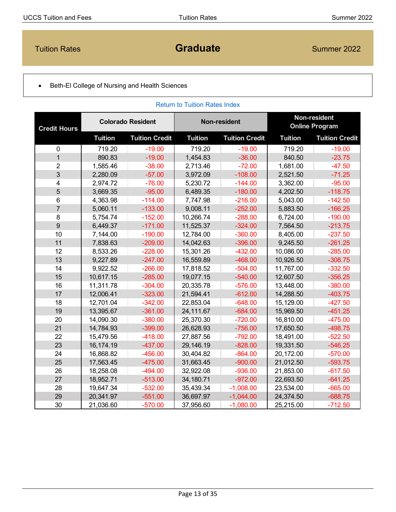<span id="page-12-0"></span>**Tuition Rates Construction Construction Construction Construction Construction Construction Construction Construction Construction Construction Construction Construction Construction Construction Construction Construction** 

[Return to Tuition Rates Index](#page-1-0)

### • Beth-El College of Nursing and Health Sciences

| <b>Credit Hours</b> | <b>Colorado Resident</b> |                       | <b>Non-resident</b> |                       | Non-resident<br><b>Online Program</b> |                       |
|---------------------|--------------------------|-----------------------|---------------------|-----------------------|---------------------------------------|-----------------------|
|                     | <b>Tuition</b>           | <b>Tuition Credit</b> | <b>Tuition</b>      | <b>Tuition Credit</b> | <b>Tuition</b>                        | <b>Tuition Credit</b> |
| $\mathbf 0$         | 719.20                   | $-19.00$              | 719.20              | $-19.00$              | 719.20                                | $-19.00$              |
| $\mathbf{1}$        | 890.83                   | $-19.00$              | 1,454.83            | $-36.00$              | 840.50                                | $-23.75$              |
| $\overline{2}$      | 1,585.46                 | $-38.00$              | 2,713.46            | $-72.00$              | 1,681.00                              | $-47.50$              |
| 3                   | 2,280.09                 | $-57.00$              | 3,972.09            | $-108.00$             | 2,521.50                              | $-71.25$              |
| 4                   | 2,974.72                 | $-76.00$              | 5,230.72            | $-144.00$             | 3,362.00                              | $-95.00$              |
| 5                   | 3,669.35                 | $-95.00$              | 6,489.35            | $-180.00$             | 4,202.50                              | $-118.75$             |
| 6                   | 4,363.98                 | $-114.00$             | 7,747.98            | $-216.00$             | 5,043.00                              | $-142.50$             |
| $\overline{7}$      | 5,060.11                 | $-133.00$             | 9,008.11            | $-252.00$             | 5,883.50                              | $-166.25$             |
| 8                   | 5,754.74                 | $-152.00$             | 10,266.74           | $-288.00$             | 6,724.00                              | $-190.00$             |
| 9                   | 6,449.37                 | $-171.00$             | 11,525.37           | $-324.00$             | 7,564.50                              | $-213.75$             |
| 10                  | 7,144.00                 | $-190.00$             | 12,784.00           | $-360.00$             | 8,405.00                              | $-237.50$             |
| 11                  | 7,838.63                 | $-209.00$             | 14,042.63           | $-396.00$             | 9,245.50                              | $-261.25$             |
| 12                  | 8,533.26                 | $-228.00$             | 15,301.26           | $-432.00$             | 10,086.00                             | $-285.00$             |
| 13                  | 9,227.89                 | $-247.00$             | 16,559.89           | $-468.00$             | 10,926.50                             | $-308.75$             |
| 14                  | 9,922.52                 | $-266.00$             | 17,818.52           | $-504.00$             | 11,767.00                             | $-332.50$             |
| 15                  | 10,617.15                | $-285.00$             | 19,077.15           | $-540.00$             | 12,607.50                             | $-356.25$             |
| 16                  | 11,311.78                | $-304.00$             | 20,335.78           | $-576.00$             | 13,448.00                             | $-380.00$             |
| 17                  | 12,006.41                | $-323.00$             | 21,594.41           | $-612.00$             | 14,288.50                             | $-403.75$             |
| 18                  | 12,701.04                | $-342.00$             | 22,853.04           | $-648.00$             | 15,129.00                             | $-427.50$             |
| 19                  | 13,395.67                | $-361.00$             | 24,111.67           | $-684.00$             | 15,969.50                             | $-451.25$             |
| 20                  | 14,090.30                | $-380.00$             | 25,370.30           | $-720.00$             | 16,810.00                             | $-475.00$             |
| 21                  | 14,784.93                | $-399.00$             | 26,628.93           | $-756.00$             | 17,650.50                             | $-498.75$             |
| 22                  | 15,479.56                | $-418.00$             | 27,887.56           | $-792.00$             | 18,491.00                             | $-522.50$             |
| 23                  | 16, 174. 19              | $-437.00$             | 29,146.19           | $-828.00$             | 19,331.50                             | $-546.25$             |
| 24                  | 16,868.82                | $-456.00$             | 30,404.82           | $-864.00$             | 20,172.00                             | $-570.00$             |
| 25                  | 17,563.45                | $-475.00$             | 31,663.45           | $-900.00$             | 21,012.50                             | $-593.75$             |
| 26                  | 18,258.08                | $-494.00$             | 32,922.08           | $-936.00$             | 21,853.00                             | $-617.50$             |
| 27                  | 18,952.71                | $-513.00$             | 34, 180. 71         | $-972.00$             | 22,693.50                             | $-641.25$             |
| 28                  | 19,647.34                | $-532.00$             | 35,439.34           | $-1,008.00$           | 23,534.00                             | $-665.00$             |
| 29                  | 20,341.97                | $-551.00$             | 36,697.97           | $-1,044.00$           | 24,374.50                             | $-688.75$             |
| 30                  | 21,036.60                | $-570.00$             | 37,956.60           | $-1,080.00$           | 25,215.00                             | $-712.50$             |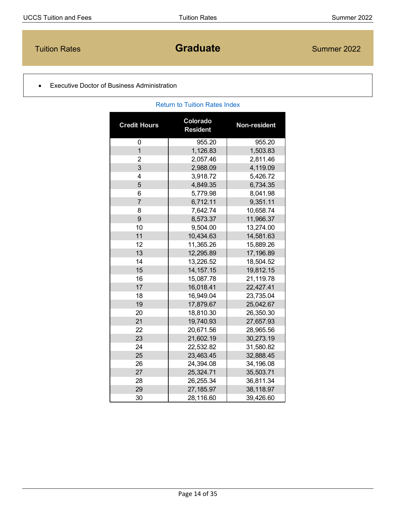# <span id="page-13-0"></span>**Tuition Rates Construction Construction Construction Construction Construction Construction Construction Construction Construction Construction Construction Construction Construction Construction Construction Construction**

[Return to Tuition Rates Index](#page-1-0)

### • Executive Doctor of Business Administration

| <b>Credit Hours</b> | Colorado<br><b>Resident</b> | Non-resident |
|---------------------|-----------------------------|--------------|
| 0                   | 955.20                      | 955.20       |
| $\overline{1}$      | 1,126.83                    | 1,503.83     |
| $\overline{2}$      | 2,057.46                    | 2,811.46     |
| 3                   | 2,988.09                    | 4,119.09     |
| 4                   | 3,918.72                    | 5,426.72     |
| 5                   | 4,849.35                    | 6,734.35     |
| 6                   | 5,779.98                    | 8,041.98     |
| $\overline{7}$      | 6,712.11                    | 9,351.11     |
| 8                   | 7,642.74                    | 10,658.74    |
| 9                   | 8,573.37                    | 11,966.37    |
| 10                  | 9,504.00                    | 13,274.00    |
| 11                  | 10,434.63                   | 14,581.63    |
| 12                  | 11,365.26                   | 15,889.26    |
| 13                  | 12,295.89                   | 17,196.89    |
| 14                  | 13,226.52                   | 18,504.52    |
| 15                  | 14, 157. 15                 | 19,812.15    |
| 16                  | 15,087.78                   | 21,119.78    |
| 17                  | 16,018.41                   | 22,427.41    |
| 18                  | 16,949.04                   | 23,735.04    |
| 19                  | 17,879.67                   | 25,042.67    |
| 20                  | 18,810.30                   | 26,350.30    |
| 21                  | 19,740.93                   | 27,657.93    |
| 22                  | 20,671.56                   | 28,965.56    |
| 23                  | 21,602.19                   | 30,273.19    |
| 24                  | 22,532.82                   | 31,580.82    |
| 25                  | 23,463.45                   | 32,888.45    |
| 26                  | 24,394.08                   | 34,196.08    |
| 27                  | 25,324.71                   | 35,503.71    |
| 28                  | 26,255.34                   | 36,811.34    |
| 29                  | 27,185.97                   | 38,118.97    |
| 30                  | 28,116.60                   | 39,426.60    |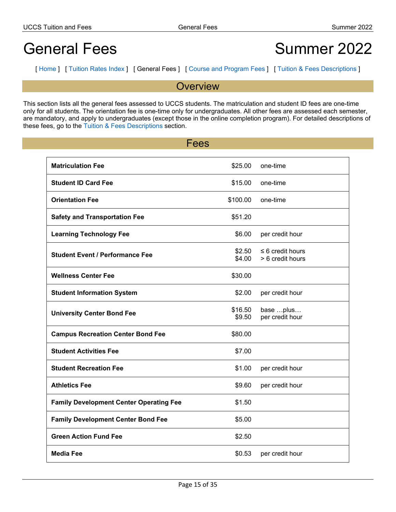# <span id="page-14-0"></span>General Fees
Summer 2022

[ [Home](#page-0-0) ] [ [Tuition](#page-1-0) Rates Index ] [ General Fees ] [ Course and [Program](#page-15-0) Fees ] [ Tuition & Fees [Descriptions](#page-21-0) ]

**Overview** 

This section lists all the general fees assessed to UCCS students. The matriculation and student ID fees are one-time only for all students. The orientation fee is one-time only for undergraduates. All other fees are assessed each semester, are mandatory, and apply to undergraduates (except those in the online completion program). For detailed descriptions of these fees, go to the Tuition & Fees [Descriptions](#page-21-0) section.

| Fees                                           |                   |                                           |
|------------------------------------------------|-------------------|-------------------------------------------|
| <b>Matriculation Fee</b>                       | \$25.00           | one-time                                  |
| <b>Student ID Card Fee</b>                     | \$15.00           | one-time                                  |
| <b>Orientation Fee</b>                         | \$100.00          | one-time                                  |
| <b>Safety and Transportation Fee</b>           | \$51.20           |                                           |
| <b>Learning Technology Fee</b>                 | \$6.00            | per credit hour                           |
| <b>Student Event / Performance Fee</b>         | \$2.50<br>\$4.00  | $\leq 6$ credit hours<br>> 6 credit hours |
| <b>Wellness Center Fee</b>                     | \$30.00           |                                           |
| <b>Student Information System</b>              | \$2.00            | per credit hour                           |
| <b>University Center Bond Fee</b>              | \$16.50<br>\$9.50 | base plus<br>per credit hour              |
| <b>Campus Recreation Center Bond Fee</b>       | \$80.00           |                                           |
| <b>Student Activities Fee</b>                  | \$7.00            |                                           |
| <b>Student Recreation Fee</b>                  | \$1.00            | per credit hour                           |
| <b>Athletics Fee</b>                           | \$9.60            | per credit hour                           |
| <b>Family Development Center Operating Fee</b> | \$1.50            |                                           |
| <b>Family Development Center Bond Fee</b>      | \$5.00            |                                           |
| <b>Green Action Fund Fee</b>                   | \$2.50            |                                           |
| <b>Media Fee</b>                               | \$0.53            | per credit hour                           |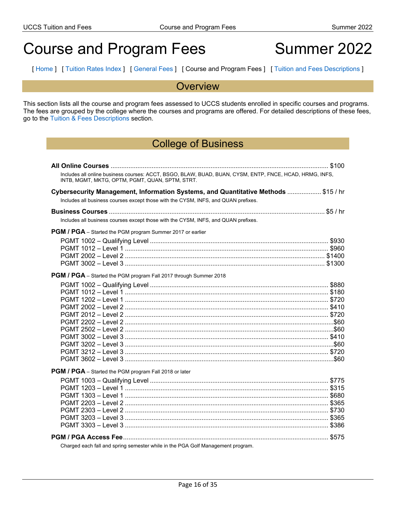# <span id="page-15-0"></span>Course and Program Fees Summer 2022

[ [Home](#page-0-0) ] [ [Tuition](#page-1-0) Rates Index ] [ [General](#page-14-0) Fees ] [ Course and Program Fees ] [ Tuition and Fees [Descriptions](#page-21-0) ]

### **Overview**

This section lists all the course and program fees assessed to UCCS students enrolled in specific courses and programs. The fees are grouped by the college where the courses and programs are offered. For detailed descriptions of these fees, go to the Tuition & Fees [Descriptions](#page-21-0) section.

# College of Business

| Includes all online business courses: ACCT, BSGO, BLAW, BUAD, BUAN, CYSM, ENTP, FNCE, HCAD, HRMG, INFS,<br>INTB, MGMT, MKTG, OPTM, PGMT, QUAN, SPTM, STRT. |
|------------------------------------------------------------------------------------------------------------------------------------------------------------|
| Cybersecurity Management, Information Systems, and Quantitative Methods  \$15 / hr                                                                         |
| Includes all business courses except those with the CYSM, INFS, and QUAN prefixes.                                                                         |
|                                                                                                                                                            |
|                                                                                                                                                            |
| Includes all business courses except those with the CYSM, INFS, and QUAN prefixes.                                                                         |
| <b>PGM / PGA</b> – Started the PGM program Summer 2017 or earlier                                                                                          |
|                                                                                                                                                            |
|                                                                                                                                                            |
|                                                                                                                                                            |
|                                                                                                                                                            |
| PGM / PGA - Started the PGM program Fall 2017 through Summer 2018                                                                                          |
|                                                                                                                                                            |
|                                                                                                                                                            |
|                                                                                                                                                            |
|                                                                                                                                                            |
|                                                                                                                                                            |
|                                                                                                                                                            |
|                                                                                                                                                            |
|                                                                                                                                                            |
|                                                                                                                                                            |
|                                                                                                                                                            |
|                                                                                                                                                            |
| PGM / PGA - Started the PGM program Fall 2018 or later                                                                                                     |
|                                                                                                                                                            |
|                                                                                                                                                            |
|                                                                                                                                                            |
|                                                                                                                                                            |
|                                                                                                                                                            |
|                                                                                                                                                            |
|                                                                                                                                                            |
|                                                                                                                                                            |
| Charged each fall and spring semester while in the PGA Golf Management program.                                                                            |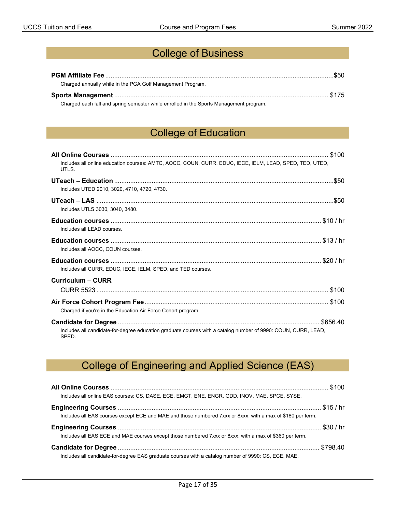# College of Business

| Charged annually while in the PGA Golf Management Program.                             |  |
|----------------------------------------------------------------------------------------|--|
|                                                                                        |  |
| Charged each fall and spring semester while enrolled in the Sports Management program. |  |

# College of Education

| Includes all online education courses: AMTC, AOCC, COUN, CURR, EDUC, IECE, IELM, LEAD, SPED, TED, UTED,<br>UTLS.       |
|------------------------------------------------------------------------------------------------------------------------|
|                                                                                                                        |
| Includes UTED 2010, 3020, 4710, 4720, 4730.                                                                            |
|                                                                                                                        |
| Includes UTLS 3030, 3040, 3480.                                                                                        |
|                                                                                                                        |
| Includes all LEAD courses.                                                                                             |
|                                                                                                                        |
| Includes all AOCC, COUN courses.                                                                                       |
|                                                                                                                        |
| Includes all CURR, EDUC, IECE, IELM, SPED, and TED courses.                                                            |
| Curriculum – CURR                                                                                                      |
|                                                                                                                        |
|                                                                                                                        |
| Charged if you're in the Education Air Force Cohort program.                                                           |
|                                                                                                                        |
| Includes all candidate-for-degree education graduate courses with a catalog number of 9990: COUN, CURR, LEAD,<br>SPED. |

# College of Engineering and Applied Science (EAS)

| Includes all online EAS courses: CS, DASE, ECE, EMGT, ENE, ENGR, GDD, INOV, MAE, SPCE, SYSE.               |  |
|------------------------------------------------------------------------------------------------------------|--|
|                                                                                                            |  |
| Includes all EAS courses except ECE and MAE and those numbered 7xxx or 8xxx, with a max of \$180 per term. |  |
|                                                                                                            |  |
| Includes all EAS ECE and MAE courses except those numbered 7xxx or 8xxx, with a max of \$360 per term.     |  |
|                                                                                                            |  |
| Includes all candidate-for-degree EAS graduate courses with a catalog number of 9990: CS, ECE, MAE.        |  |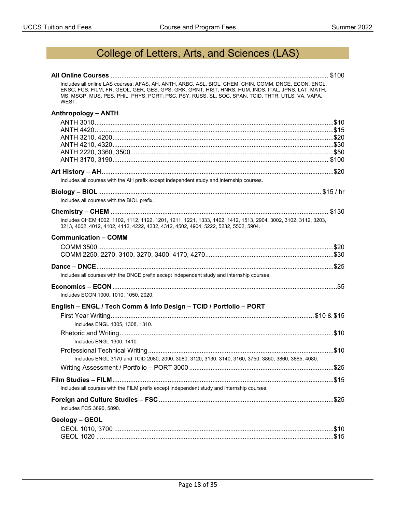# College of Letters, Arts, and Sciences (LAS)

| Includes all online LAS courses: AFAS, AH, ANTH, ARBC, ASL, BIOL, CHEM, CHIN, COMM, DNCE, ECON, ENGL,<br>ENSC, FCS, FILM, FR, GEOL, GER, GES, GPS, GRK, GRNT, HIST, HNRS, HUM, INDS, ITAL, JPNS, LAT, MATH,<br>MS, MSGP, MUS, PES, PHIL, PHYS, PORT, PSC, PSY, RUSS, SL, SOC, SPAN, TCID, THTR, UTLS, VA, VAPA,<br>WEST. |
|--------------------------------------------------------------------------------------------------------------------------------------------------------------------------------------------------------------------------------------------------------------------------------------------------------------------------|
| <b>Anthropology - ANTH</b>                                                                                                                                                                                                                                                                                               |
|                                                                                                                                                                                                                                                                                                                          |
| Includes all courses with the AH prefix except independent study and internship courses.                                                                                                                                                                                                                                 |
|                                                                                                                                                                                                                                                                                                                          |
| Includes all courses with the BIOL prefix.                                                                                                                                                                                                                                                                               |
| Includes CHEM 1002, 1102, 1112, 1122, 1201, 1211, 1221, 1333, 1402, 1412, 1513, 2904, 3002, 3102, 3112, 3203,<br>3213, 4002, 4012, 4102, 4112, 4222, 4232, 4312, 4502, 4904, 5222, 5232, 5502, 5904.                                                                                                                     |
| <b>Communication - COMM</b>                                                                                                                                                                                                                                                                                              |
|                                                                                                                                                                                                                                                                                                                          |
| Includes all courses with the DNCE prefix except independent study and internship courses.                                                                                                                                                                                                                               |
|                                                                                                                                                                                                                                                                                                                          |
| Includes ECON 1000, 1010, 1050, 2020.                                                                                                                                                                                                                                                                                    |
| English - ENGL / Tech Comm & Info Design - TCID / Portfolio - PORT                                                                                                                                                                                                                                                       |
|                                                                                                                                                                                                                                                                                                                          |
| Includes ENGL 1305, 1308, 1310.                                                                                                                                                                                                                                                                                          |
| Includes ENGL 1300, 1410.                                                                                                                                                                                                                                                                                                |
| Includes ENGL 3170 and TCID 2080, 2090, 3080, 3120, 3130, 3140, 3160, 3750, 3850, 3860, 3865, 4080.                                                                                                                                                                                                                      |
|                                                                                                                                                                                                                                                                                                                          |
|                                                                                                                                                                                                                                                                                                                          |
| Includes all courses with the FILM prefix except independent study and internship courses.                                                                                                                                                                                                                               |
| Includes FCS 3890, 5890.                                                                                                                                                                                                                                                                                                 |
| Geology - GEOL                                                                                                                                                                                                                                                                                                           |
|                                                                                                                                                                                                                                                                                                                          |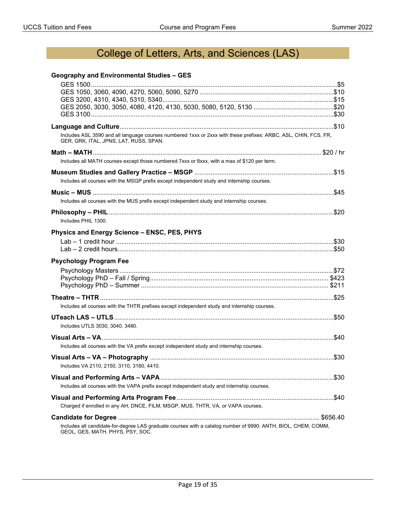# College of Letters, Arts, and Sciences (LAS)

### **Geography and Environmental Studies – GES**

| Includes ASL 3590 and all language courses numbered 1xxx or 2xxx with these prefixes: ARBC, ASL, CHIN, FCS, FR,<br>GER, GRK, ITAL, JPNS, LAT, RUSS, SPAN. |
|-----------------------------------------------------------------------------------------------------------------------------------------------------------|
|                                                                                                                                                           |
| Includes all MATH courses except those numbered 7xxx or 8xxx, with a max of \$120 per term.                                                               |
| Includes all courses with the MSGP prefix except independent study and internship courses.                                                                |
|                                                                                                                                                           |
| Includes all courses with the MUS prefix except independent study and internship courses.                                                                 |
| Includes PHIL 1300.                                                                                                                                       |
| Physics and Energy Science - ENSC, PES, PHYS                                                                                                              |
|                                                                                                                                                           |
| <b>Psychology Program Fee</b>                                                                                                                             |
|                                                                                                                                                           |
|                                                                                                                                                           |
| Includes all courses with the THTR prefixes except independent study and internship courses.                                                              |
| Includes UTLS 3030, 3040, 3480.                                                                                                                           |
|                                                                                                                                                           |
| Includes all courses with the VA prefix except independent study and internship courses.                                                                  |
| Includes VA 2110, 2150, 3110, 3160, 4410.                                                                                                                 |
|                                                                                                                                                           |
| Includes all courses with the VAPA prefix except independent study and internship courses.                                                                |
| Charged if enrolled in any AH, DNCE, FILM, MSGP, MUS, THTR, VA, or VAPA courses.                                                                          |
|                                                                                                                                                           |
| Includes all candidate-for-degree LAS graduate courses with a catalog number of 9990: ANTH, BIOL, CHEM, COMM,<br>GEOL, GES, MATH, PHYS, PSY, SOC.         |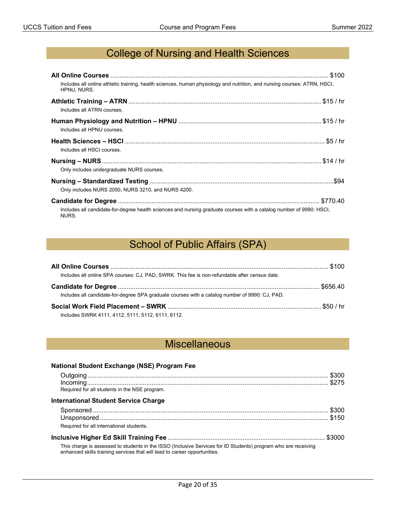# College of Nursing and Health Sciences

| Includes all online athletic training, health sciences, human physiology and nutrition, and nursing courses: ATRN, HSCI,<br>HPNU, NURS. |  |
|-----------------------------------------------------------------------------------------------------------------------------------------|--|
| Includes all ATRN courses.                                                                                                              |  |
| Includes all HPNU courses.                                                                                                              |  |
| Includes all HSCI courses                                                                                                               |  |
| Only includes undergraduate NURS courses.                                                                                               |  |
| Only includes NURS 2050, NURS 3210, and NURS 4200.                                                                                      |  |
| Includes all candidate-for-degree health sciences and nursing graduate courses with a catalog number of 9990: HSCI,<br>NURS.            |  |

# School of Public Affairs (SPA)

| Includes all online SPA courses: CJ, PAD, SWRK. This fee is non-refundable after census date.  |  |
|------------------------------------------------------------------------------------------------|--|
|                                                                                                |  |
| Includes all candidate-for-degree SPA graduate courses with a catalog number of 9990: CJ, PAD. |  |
|                                                                                                |  |
| Includes SWRK 4111, 4112, 5111, 5112, 6111, 6112.                                              |  |

# **Miscellaneous**

| <b>National Student Exchange (NSE) Program Fee</b>                                                                                                                                          |  |
|---------------------------------------------------------------------------------------------------------------------------------------------------------------------------------------------|--|
|                                                                                                                                                                                             |  |
|                                                                                                                                                                                             |  |
| Required for all students in the NSE program.                                                                                                                                               |  |
| <b>International Student Service Charge</b>                                                                                                                                                 |  |
|                                                                                                                                                                                             |  |
|                                                                                                                                                                                             |  |
| Required for all international students.                                                                                                                                                    |  |
|                                                                                                                                                                                             |  |
| This charge is assessed to students in the ISSO (Inclusive Services for ID Students) program who are receiving<br>enhanced skills training services that will lead to career opportunities. |  |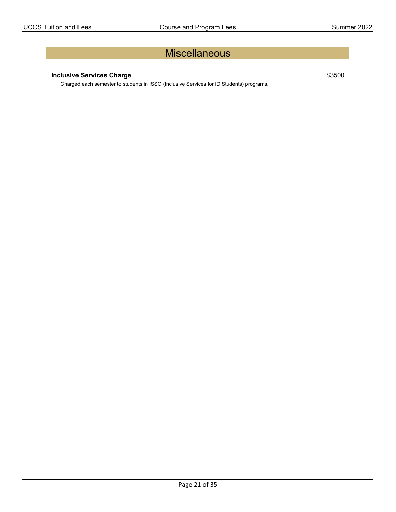# **Miscellaneous**

**Inclusive Services Charge**............................................................................................................ \$3500

Charged each semester to students in ISSO (Inclusive Services for ID Students) programs.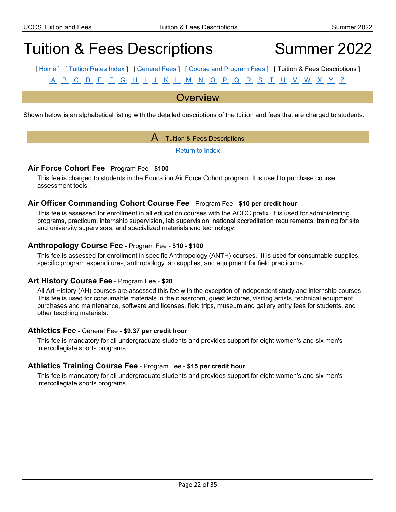# <span id="page-21-0"></span>Tuition & Fees Descriptions Summer 2022

[ [Home](#page-0-0) ] [ [Tuition](#page-1-0) Rates Index ] [ [General](#page-14-0) Fees ] [ Course and [Program](#page-15-0) Fees ] [ Tuition & Fees Descriptions ] [A](#page-21-1) [B](#page-22-0) [C](#page-22-1) [D](#page-23-0) [E](#page-24-0) [F](#page-24-1) [G](#page-25-0) [H](#page-25-1) [I](#page-26-0) [J](#page-26-1) [K](#page-26-2) [L](#page-27-0) [M](#page-27-1) [N](#page-28-0) [O](#page-28-1) [P](#page-29-0) [Q](#page-30-0) [R](#page-30-1) [S](#page-31-0) [T](#page-32-0) [U](#page-32-1) [V](#page-33-0) [W](#page-33-1) [X](#page-33-2) [Y](#page-33-3) [Z](#page-34-0)

### **Overview**

<span id="page-21-1"></span>Shown below is an alphabetical listing with the detailed descriptions of the tuition and fees that are charged to students.

### $\overline{A}$  – Tuition & Fees Descriptions

[Return to Index](#page-21-0)

### **Air Force Cohort Fee** - Program Fee - **\$100**

This fee is charged to students in the Education Air Force Cohort program. It is used to purchase course assessment tools.

#### **Air Officer Commanding Cohort Course Fee** - Program Fee - **\$10 per credit hour**

This fee is assessed for enrollment in all education courses with the AOCC prefix. It is used for administrating programs, practicum, internship supervision, lab supervision, national accreditation requirements, training for site and university supervisors, and specialized materials and technology.

#### **Anthropology Course Fee** - Program Fee - **\$10 - \$100**

This fee is assessed for enrollment in specific Anthropology (ANTH) courses. It is used for consumable supplies, specific program expenditures, anthropology lab supplies, and equipment for field practicums.

#### **Art History Course Fee** - Program Fee - **\$20**

All Art History (AH) courses are assessed this fee with the exception of independent study and internship courses. This fee is used for consumable materials in the classroom, guest lectures, visiting artists, technical equipment purchases and maintenance, software and licenses, field trips, museum and gallery entry fees for students, and other teaching materials.

#### **Athletics Fee** - General Fee - **\$9.37 per credit hour**

This fee is mandatory for all undergraduate students and provides support for eight women's and six men's intercollegiate sports programs.

#### **Athletics Training Course Fee** - Program Fee - **\$15 per credit hour**

This fee is mandatory for all undergraduate students and provides support for eight women's and six men's intercollegiate sports programs.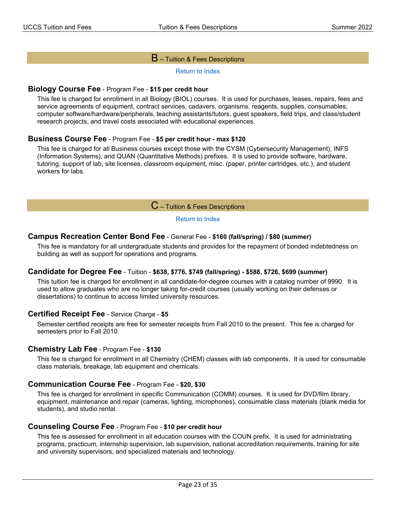#### $\mathsf B$  – Tuition & Fees Descriptions

[Return to Index](#page-21-0)

#### <span id="page-22-0"></span>**Biology Course Fee** - Program Fee - **\$15 per credit hour**

This fee is charged for enrollment in all Biology (BIOL) courses. It is used for purchases, leases, repairs, fees and service agreements of equipment, contract services, cadavers, organisms, reagents, supplies, consumables, computer software/hardware/peripherals, teaching assistants/tutors, guest speakers, field trips, and class/student research projects, and travel costs associated with educational experiences.

#### **Business Course Fee** - Program Fee - **\$5 per credit hour - max \$120**

This fee is charged for all Business courses except those with the CYSM (Cybersecurity Management), INFS (Information Systems), and QUAN (Quantitative Methods) prefixes. It is used to provide software, hardware, tutoring, support of lab, site licenses, classroom equipment, misc. (paper, printer cartridges, etc.), and student workers for labs.

### $\mathbf C$  – Tuition & Fees Descriptions

#### [Return to Index](#page-21-0)

#### <span id="page-22-1"></span>**Campus Recreation Center Bond Fee** - General Fee - **\$160 (fall/spring) / \$80 (summer)**

This fee is mandatory for all undergraduate students and provides for the repayment of bonded indebtedness on building as well as support for operations and programs.

#### **Candidate for Degree Fee** - Tuition - **\$638, \$776, \$749 (fall/spring) - \$588, \$726, \$699 (summer)**

This tuition fee is charged for enrollment in all candidate-for-degree courses with a catalog number of 9990. It is used to allow graduates who are no longer taking for-credit courses (usually working on their defenses or dissertations) to continue to access limited university resources.

#### **Certified Receipt Fee** - Service Charge - **\$5**

Semester certified receipts are free for semester receipts from Fall 2010 to the present. This fee is charged for semesters prior to Fall 2010.

#### **Chemistry Lab Fee** - Program Fee - **\$130**

This fee is charged for enrollment in all Chemistry (CHEM) classes with lab components. It is used for consumable class materials, breakage, lab equipment and chemicals.

#### **Communication Course Fee** - Program Fee - **\$20, \$30**

This fee is charged for enrollment in specific Communication (COMM) courses. It is used for DVD/film library, equipment, maintenance and repair (cameras, lighting, microphones), consumable class materials (blank media for students), and studio rental.

#### **Counseling Course Fee** - Program Fee - **\$10 per credit hour**

This fee is assessed for enrollment in all education courses with the COUN prefix. It is used for administrating programs, practicum, internship supervision, lab supervision, national accreditation requirements, training for site and university supervisors, and specialized materials and technology.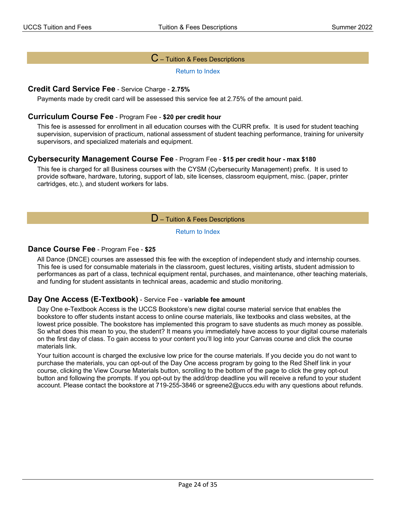### ${\mathbf C}$  – Tuition & Fees Descriptions

[Return to Index](#page-21-0)

#### **Credit Card Service Fee** - Service Charge - **2.75%**

Payments made by credit card will be assessed this service fee at 2.75% of the amount paid.

#### **Curriculum Course Fee** - Program Fee - **\$20 per credit hour**

This fee is assessed for enrollment in all education courses with the CURR prefix. It is used for student teaching supervision, supervision of practicum, national assessment of student teaching performance, training for university supervisors, and specialized materials and equipment.

#### **Cybersecurity Management Course Fee** - Program Fee - **\$15 per credit hour - max \$180**

<span id="page-23-0"></span>This fee is charged for all Business courses with the CYSM (Cybersecurity Management) prefix. It is used to provide software, hardware, tutoring, support of lab, site licenses, classroom equipment, misc. (paper, printer cartridges, etc.), and student workers for labs.

#### $D$  – Tuition & Fees Descriptions

[Return to Index](#page-21-0)

#### **Dance Course Fee** - Program Fee - **\$25**

All Dance (DNCE) courses are assessed this fee with the exception of independent study and internship courses. This fee is used for consumable materials in the classroom, guest lectures, visiting artists, student admission to performances as part of a class, technical equipment rental, purchases, and maintenance, other teaching materials, and funding for student assistants in technical areas, academic and studio monitoring.

#### **Day One Access (E-Textbook)** - Service Fee - **variable fee amount**

Day One e-Textbook Access is the UCCS Bookstore's new digital course material service that enables the bookstore to offer students instant access to online course materials, like textbooks and class websites, at the lowest price possible. The bookstore has implemented this program to save students as much money as possible. So what does this mean to you, the student? It means you immediately have access to your digital course materials on the first day of class. To gain access to your content you'll log into your Canvas course and click the course materials link.

Your tuition account is charged the exclusive low price for the course materials. If you decide you do not want to purchase the materials, you can opt-out of the Day One access program by going to the Red Shelf link in your course, clicking the View Course Materials button, scrolling to the bottom of the page to click the grey opt-out button and following the prompts. If you opt-out by the add/drop deadline you will receive a refund to your student account. Please contact the bookstore at 719-255-3846 or sgreene2@uccs.edu with any questions about refunds.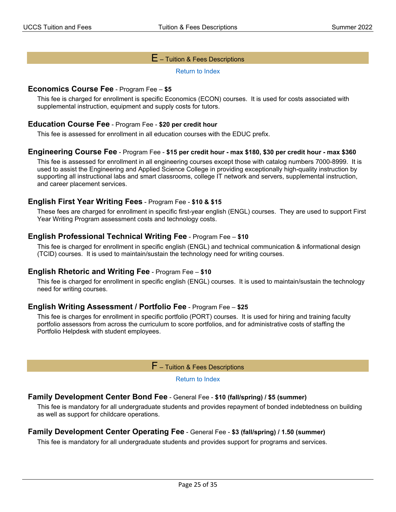### $E$  – Tuition & Fees Descriptions

[Return to Index](#page-21-0)

#### <span id="page-24-0"></span>**Economics Course Fee** - Program Fee – **\$5**

This fee is charged for enrollment is specific Economics (ECON) courses. It is used for costs associated with supplemental instruction, equipment and supply costs for tutors.

#### **Education Course Fee** - Program Fee - **\$20 per credit hour**

This fee is assessed for enrollment in all education courses with the EDUC prefix.

#### **Engineering Course Fee** - Program Fee - **\$15 per credit hour - max \$180, \$30 per credit hour - max \$360**

This fee is assessed for enrollment in all engineering courses except those with catalog numbers 7000-8999. It is used to assist the Engineering and Applied Science College in providing exceptionally high-quality instruction by supporting all instructional labs and smart classrooms, college IT network and servers, supplemental instruction, and career placement services.

#### **English First Year Writing Fees** - Program Fee - **\$10 & \$15**

These fees are charged for enrollment in specific first-year english (ENGL) courses. They are used to support First Year Writing Program assessment costs and technology costs.

#### **English Professional Technical Writing Fee** - Program Fee – **\$10**

This fee is charged for enrollment in specific english (ENGL) and technical communication & informational design (TCID) courses. It is used to maintain/sustain the technology need for writing courses.

#### **English Rhetoric and Writing Fee** - Program Fee – **\$10**

This fee is charged for enrollment in specific english (ENGL) courses. It is used to maintain/sustain the technology need for writing courses.

#### **English Writing Assessment / Portfolio Fee** - Program Fee – **\$25**

<span id="page-24-1"></span>This fee is charges for enrollment in specific portfolio (PORT) courses. It is used for hiring and training faculty portfolio assessors from across the curriculum to score portfolios, and for administrative costs of staffing the Portfolio Helpdesk with student employees.

 $F$  – Tuition & Fees Descriptions

#### [Return to Index](#page-21-0)

#### **Family Development Center Bond Fee** - General Fee - **\$10 (fall/spring) / \$5 (summer)**

This fee is mandatory for all undergraduate students and provides repayment of bonded indebtedness on building as well as support for childcare operations.

#### **Family Development Center Operating Fee** - General Fee - **\$3 (fall/spring) / 1.50 (summer)**

This fee is mandatory for all undergraduate students and provides support for programs and services.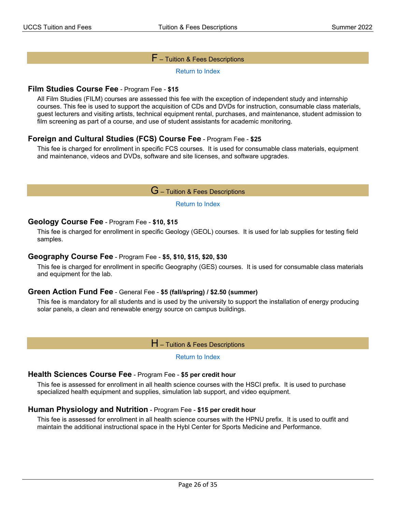#### $\mathsf F$  – Tuition & Fees Descriptions

[Return to Index](#page-21-0)

#### **Film Studies Course Fee** - Program Fee - **\$15**

All Film Studies (FILM) courses are assessed this fee with the exception of independent study and internship courses. This fee is used to support the acquisition of CDs and DVDs for instruction, consumable class materials, guest lecturers and visiting artists, technical equipment rental, purchases, and maintenance, student admission to film screening as part of a course, and use of student assistants for academic monitoring.

### **Foreign and Cultural Studies (FCS) Course Fee** - Program Fee - **\$25**

<span id="page-25-0"></span>This fee is charged for enrollment in specific FCS courses. It is used for consumable class materials, equipment and maintenance, videos and DVDs, software and site licenses, and software upgrades.

G – Tuition & Fees Descriptions

[Return to Index](#page-21-0)

#### **Geology Course Fee** - Program Fee - **\$10, \$15**

This fee is charged for enrollment in specific Geology (GEOL) courses. It is used for lab supplies for testing field samples.

#### **Geography Course Fee** - Program Fee - **\$5, \$10, \$15, \$20, \$30**

This fee is charged for enrollment in specific Geography (GES) courses. It is used for consumable class materials and equipment for the lab.

#### **Green Action Fund Fee** - General Fee - **\$5 (fall/spring) / \$2.50 (summer)**

<span id="page-25-1"></span>This fee is mandatory for all students and is used by the university to support the installation of energy producing solar panels, a clean and renewable energy source on campus buildings.

 $H$  – Tuition & Fees Descriptions

[Return to Index](#page-21-0)

#### **Health Sciences Course Fee** - Program Fee - **\$5 per credit hour**

This fee is assessed for enrollment in all health science courses with the HSCI prefix. It is used to purchase specialized health equipment and supplies, simulation lab support, and video equipment.

#### **Human Physiology and Nutrition** - Program Fee - **\$15 per credit hour**

This fee is assessed for enrollment in all health science courses with the HPNU prefix. It is used to outfit and maintain the additional instructional space in the Hybl Center for Sports Medicine and Performance.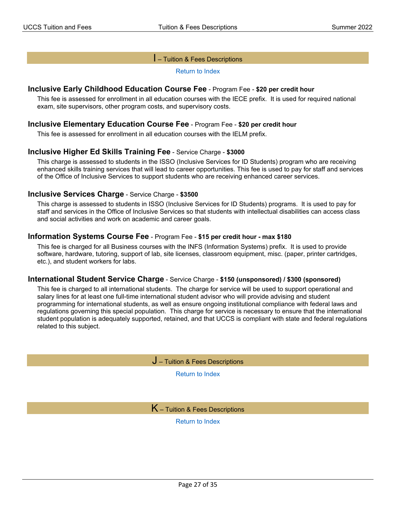#### I – Tuition & Fees Descriptions

[Return to Index](#page-21-0)

#### <span id="page-26-0"></span>**Inclusive Early Childhood Education Course Fee** - Program Fee - **\$20 per credit hour**

This fee is assessed for enrollment in all education courses with the IECE prefix. It is used for required national exam, site supervisors, other program costs, and supervisory costs.

#### **Inclusive Elementary Education Course Fee** - Program Fee - **\$20 per credit hour**

This fee is assessed for enrollment in all education courses with the IELM prefix.

#### **Inclusive Higher Ed Skills Training Fee** - Service Charge - **\$3000**

This charge is assessed to students in the ISSO (Inclusive Services for ID Students) program who are receiving enhanced skills training services that will lead to career opportunities. This fee is used to pay for staff and services of the Office of Inclusive Services to support students who are receiving enhanced career services.

#### **Inclusive Services Charge** - Service Charge - **\$3500**

This charge is assessed to students in ISSO (Inclusive Services for ID Students) programs. It is used to pay for staff and services in the Office of Inclusive Services so that students with intellectual disabilities can access class and social activities and work on academic and career goals.

#### **Information Systems Course Fee** - Program Fee - **\$15 per credit hour - max \$180**

This fee is charged for all Business courses with the INFS (Information Systems) prefix. It is used to provide software, hardware, tutoring, support of lab, site licenses, classroom equipment, misc. (paper, printer cartridges, etc.), and student workers for labs.

#### **International Student Service Charge** - Service Charge - **\$150 (unsponsored) / \$300 (sponsored)**

<span id="page-26-2"></span><span id="page-26-1"></span>This fee is charged to all international students. The charge for service will be used to support operational and salary lines for at least one full-time international student advisor who will provide advising and student programming for international students, as well as ensure ongoing institutional compliance with federal laws and regulations governing this special population. This charge for service is necessary to ensure that the international student population is adequately supported, retained, and that UCCS is compliant with state and federal regulations related to this subject.

J – Tuition & Fees Descriptions

[Return to Index](#page-21-0)

 $K$  – Tuition & Fees Descriptions

[Return to Index](#page-21-0)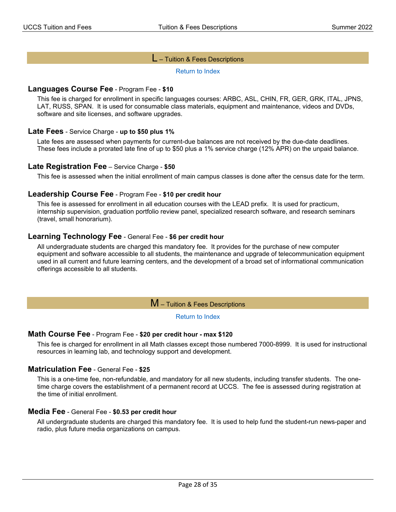#### L – Tuition & Fees Descriptions

[Return to Index](#page-21-0)

#### <span id="page-27-0"></span>**Languages Course Fee** - Program Fee - **\$10**

This fee is charged for enrollment in specific languages courses: ARBC, ASL, CHIN, FR, GER, GRK, ITAL, JPNS, LAT, RUSS, SPAN. It is used for consumable class materials, equipment and maintenance, videos and DVDs, software and site licenses, and software upgrades.

#### **Late Fees** - Service Charge - **up to \$50 plus 1%**

Late fees are assessed when payments for current-due balances are not received by the due-date deadlines. These fees include a prorated late fine of up to \$50 plus a 1% service charge (12% APR) on the unpaid balance.

#### **Late Registration Fee** – Service Charge - **\$50**

This fee is assessed when the initial enrollment of main campus classes is done after the census date for the term.

#### **Leadership Course Fee** - Program Fee - **\$10 per credit hour**

This fee is assessed for enrollment in all education courses with the LEAD prefix. It is used for practicum, internship supervision, graduation portfolio review panel, specialized research software, and research seminars (travel, small honorarium).

#### **Learning Technology Fee** - General Fee - **\$6 per credit hour**

All undergraduate students are charged this mandatory fee. It provides for the purchase of new computer equipment and software accessible to all students, the maintenance and upgrade of telecommunication equipment used in all current and future learning centers, and the development of a broad set of informational communication offerings accessible to all students.

#### M – Tuition & Fees Descriptions

#### [Return to Index](#page-21-0)

#### <span id="page-27-1"></span>**Math Course Fee** - Program Fee - **\$20 per credit hour - max \$120**

This fee is charged for enrollment in all Math classes except those numbered 7000-8999. It is used for instructional resources in learning lab, and technology support and development.

#### **Matriculation Fee** - General Fee - **\$25**

This is a one-time fee, non-refundable, and mandatory for all new students, including transfer students. The onetime charge covers the establishment of a permanent record at UCCS. The fee is assessed during registration at the time of initial enrollment.

#### **Media Fee** - General Fee - **\$0.53 per credit hour**

All undergraduate students are charged this mandatory fee. It is used to help fund the student-run news-paper and radio, plus future media organizations on campus.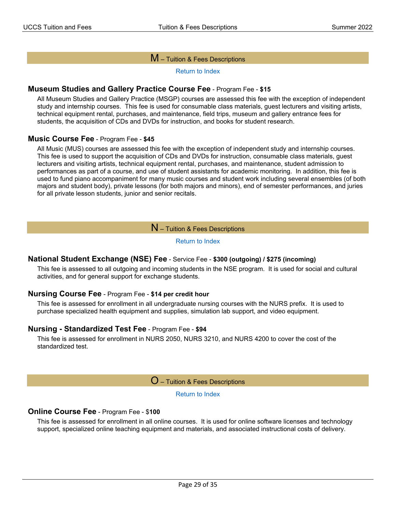#### M – Tuition & Fees Descriptions

[Return to Index](#page-21-0)

#### **Museum Studies and Gallery Practice Course Fee** - Program Fee - **\$15**

All Museum Studies and Gallery Practice (MSGP) courses are assessed this fee with the exception of independent study and internship courses. This fee is used for consumable class materials, guest lecturers and visiting artists, technical equipment rental, purchases, and maintenance, field trips, museum and gallery entrance fees for students, the acquisition of CDs and DVDs for instruction, and books for student research.

#### **Music Course Fee** - Program Fee - **\$45**

All Music (MUS) courses are assessed this fee with the exception of independent study and internship courses. This fee is used to support the acquisition of CDs and DVDs for instruction, consumable class materials, guest lecturers and visiting artists, technical equipment rental, purchases, and maintenance, student admission to performances as part of a course, and use of student assistants for academic monitoring. In addition, this fee is used to fund piano accompaniment for many music courses and student work including several ensembles (of both majors and student body), private lessons (for both majors and minors), end of semester performances, and juries for all private lesson students, junior and senior recitals.

 $N$  – Tuition & Fees Descriptions

#### [Return to Index](#page-21-0)

#### <span id="page-28-0"></span>**National Student Exchange (NSE) Fee** - Service Fee - **\$300 (outgoing) / \$275 (incoming)**

This fee is assessed to all outgoing and incoming students in the NSE program. It is used for social and cultural activities, and for general support for exchange students.

#### **Nursing Course Fee** - Program Fee - **\$14 per credit hour**

This fee is assessed for enrollment in all undergraduate nursing courses with the NURS prefix. It is used to purchase specialized health equipment and supplies, simulation lab support, and video equipment.

#### **Nursing - Standardized Test Fee** - Program Fee - **\$94**

<span id="page-28-1"></span>This fee is assessed for enrollment in NURS 2050, NURS 3210, and NURS 4200 to cover the cost of the standardized test.

O – Tuition & Fees Descriptions

[Return to Index](#page-21-0)

#### **Online Course Fee** - Program Fee - \$**100**

This fee is assessed for enrollment in all online courses. It is used for online software licenses and technology support, specialized online teaching equipment and materials, and associated instructional costs of delivery.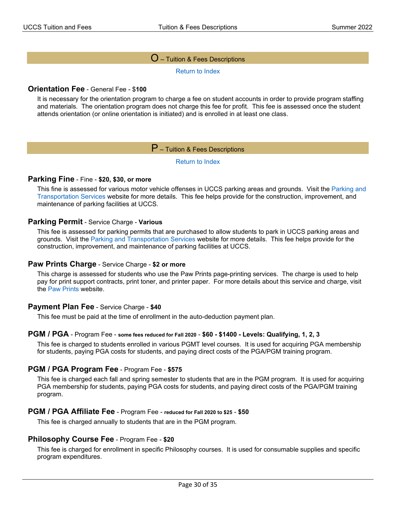#### $O$  – Tuition & Fees Descriptions

[Return to Index](#page-21-0)

#### **Orientation Fee** - General Fee - \$**100**

<span id="page-29-0"></span>It is necessary for the orientation program to charge a fee on student accounts in order to provide program staffing and materials. The orientation program does not charge this fee for profit. This fee is assessed once the student attends orientation (or online orientation is initiated) and is enrolled in at least one class.

### P – Tuition & Fees Descriptions

[Return to Index](#page-21-0)

#### **Parking Fine** - Fine - **\$20, \$30, or more**

This fine is assessed for various motor vehicle offenses in UCCS parking areas and grounds. Visit the [Parking and](http://www.uccs.edu/pts/)  [Transportation Services](http://www.uccs.edu/pts/) website for more details. This fee helps provide for the construction, improvement, and maintenance of parking facilities at UCCS.

#### **Parking Permit** - Service Charge - **Various**

This fee is assessed for parking permits that are purchased to allow students to park in UCCS parking areas and grounds. Visit the [Parking and Transportation Services](http://www.uccs.edu/pts/) website for more details. This fee helps provide for the construction, improvement, and maintenance of parking facilities at UCCS.

#### **Paw Prints Charge** - Service Charge - **\$2 or more**

This charge is assessed for students who use the Paw Prints page-printing services. The charge is used to help pay for print support contracts, print toner, and printer paper. For more details about this service and charge, visit the [Paw Prints](http://www.uccs.edu/oit/services/printing/pawprints) website.

#### **Payment Plan Fee** - Service Charge - **\$40**

This fee must be paid at the time of enrollment in the auto-deduction payment plan.

#### **PGM / PGA** - Program Fee - **some fees reduced for Fall 2020** - **\$60 - \$1400 - Levels: Qualifying, 1, 2, 3**

This fee is charged to students enrolled in various PGMT level courses. It is used for acquiring PGA membership for students, paying PGA costs for students, and paying direct costs of the PGA/PGM training program.

#### **PGM / PGA Program Fee** - Program Fee - **\$575**

This fee is charged each fall and spring semester to students that are in the PGM program. It is used for acquiring PGA membership for students, paying PGA costs for students, and paying direct costs of the PGA/PGM training program.

#### **PGM / PGA Affiliate Fee** - Program Fee - **reduced for Fall 2020 to \$25** - **\$50**

This fee is charged annually to students that are in the PGM program.

#### **Philosophy Course Fee** - Program Fee - **\$20**

This fee is charged for enrollment in specific Philosophy courses. It is used for consumable supplies and specific program expenditures.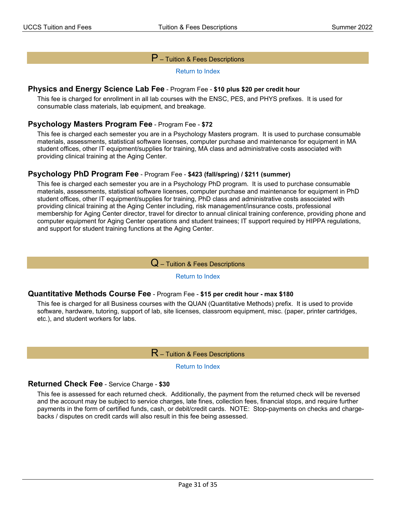### $\mathsf P$  – Tuition & Fees Descriptions

[Return to Index](#page-21-0)

#### **Physics and Energy Science Lab Fee** - Program Fee - **\$10 plus \$20 per credit hour**

This fee is charged for enrollment in all lab courses with the ENSC, PES, and PHYS prefixes. It is used for consumable class materials, lab equipment, and breakage.

#### **Psychology Masters Program Fee** - Program Fee - **\$72**

This fee is charged each semester you are in a Psychology Masters program. It is used to purchase consumable materials, assessments, statistical software licenses, computer purchase and maintenance for equipment in MA student offices, other IT equipment/supplies for training, MA class and administrative costs associated with providing clinical training at the Aging Center.

#### **Psychology PhD Program Fee** - Program Fee - **\$423 (fall/spring) / \$211 (summer)**

This fee is charged each semester you are in a Psychology PhD program. It is used to purchase consumable materials, assessments, statistical software licenses, computer purchase and maintenance for equipment in PhD student offices, other IT equipment/supplies for training, PhD class and administrative costs associated with providing clinical training at the Aging Center including, risk management/insurance costs, professional membership for Aging Center director, travel for director to annual clinical training conference, providing phone and computer equipment for Aging Center operations and student trainees; IT support required by HIPPA regulations, and support for student training functions at the Aging Center.

#### $\mathbf Q$  – Tuition & Fees Descriptions

#### [Return to Index](#page-21-0)

#### <span id="page-30-0"></span>**Quantitative Methods Course Fee** - Program Fee - **\$15 per credit hour - max \$180**

<span id="page-30-1"></span>This fee is charged for all Business courses with the QUAN (Quantitative Methods) prefix. It is used to provide software, hardware, tutoring, support of lab, site licenses, classroom equipment, misc. (paper, printer cartridges, etc.), and student workers for labs.

 $\mathsf R$  – Tuition & Fees Descriptions

#### [Return to Index](#page-21-0)

#### **Returned Check Fee** - Service Charge - **\$30**

This fee is assessed for each returned check. Additionally, the payment from the returned check will be reversed and the account may be subject to service charges, late fines, collection fees, financial stops, and require further payments in the form of certified funds, cash, or debit/credit cards. NOTE: Stop-payments on checks and chargebacks / disputes on credit cards will also result in this fee being assessed.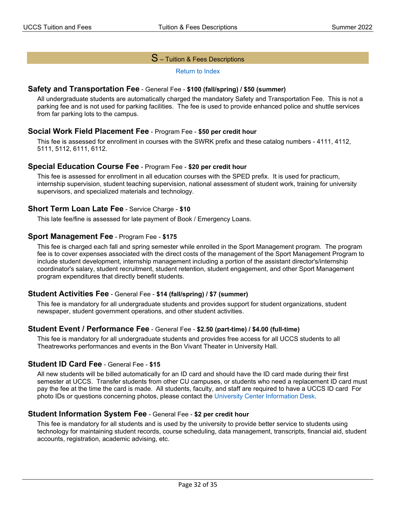### $\mathbf S$  – Tuition & Fees Descriptions

#### [Return to Index](#page-21-0)

#### <span id="page-31-0"></span>**Safety and Transportation Fee** - General Fee - **\$100 (fall/spring) / \$50 (summer)**

All undergraduate students are automatically charged the mandatory Safety and Transportation Fee. This is not a parking fee and is not used for parking facilities. The fee is used to provide enhanced police and shuttle services from far parking lots to the campus.

#### **Social Work Field Placement Fee** - Program Fee - **\$50 per credit hour**

This fee is assessed for enrollment in courses with the SWRK prefix and these catalog numbers - 4111, 4112, 5111, 5112, 6111, 6112.

#### **Special Education Course Fee** - Program Fee - **\$20 per credit hour**

This fee is assessed for enrollment in all education courses with the SPED prefix. It is used for practicum, internship supervision, student teaching supervision, national assessment of student work, training for university supervisors, and specialized materials and technology.

#### **Short Term Loan Late Fee** - Service Charge - **\$10**

This late fee/fine is assessed for late payment of Book / Emergency Loans.

#### **Sport Management Fee** - Program Fee - **\$175**

This fee is charged each fall and spring semester while enrolled in the Sport Management program. The program fee is to cover expenses associated with the direct costs of the management of the Sport Management Program to include student development, internship management including a portion of the assistant director's/internship coordinator's salary, student recruitment, student retention, student engagement, and other Sport Management program expenditures that directly benefit students.

#### **Student Activities Fee** - General Fee - **\$14 (fall/spring) / \$7 (summer)**

This fee is mandatory for all undergraduate students and provides support for student organizations, student newspaper, student government operations, and other student activities.

#### **Student Event / Performance Fee** - General Fee - **\$2.50 (part-time) / \$4.00 (full-time)**

This fee is mandatory for all undergraduate students and provides free access for all UCCS students to all Theatreworks performances and events in the Bon Vivant Theater in University Hall.

#### **Student ID Card Fee** - General Fee - **\$15**

All new students will be billed automatically for an ID card and should have the ID card made during their first semester at UCCS. Transfer students from other CU campuses, or students who need a replacement ID card must pay the fee at the time the card is made. All students, faculty, and staff are required to have a UCCS ID card For photo IDs or questions concerning photos, please contact the [University Center Information Desk.](http://www.uccs.edu/uc/)

#### **Student Information System Fee** - General Fee - **\$2 per credit hour**

This fee is mandatory for all students and is used by the university to provide better service to students using technology for maintaining student records, course scheduling, data management, transcripts, financial aid, student accounts, registration, academic advising, etc.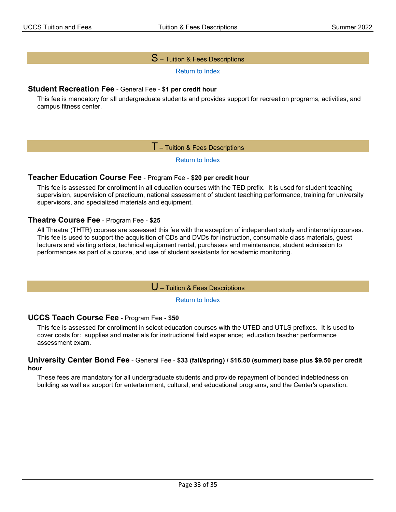### $S$  – Tuition & Fees Descriptions

[Return to Index](#page-21-0)

#### **Student Recreation Fee** - General Fee - **\$1 per credit hour**

<span id="page-32-0"></span>This fee is mandatory for all undergraduate students and provides support for recreation programs, activities, and campus fitness center.

#### ${\sf T}$  – Tuition & Fees Descriptions

#### [Return to Index](#page-21-0)

#### **Teacher Education Course Fee** - Program Fee - **\$20 per credit hour**

This fee is assessed for enrollment in all education courses with the TED prefix. It is used for student teaching supervision, supervision of practicum, national assessment of student teaching performance, training for university supervisors, and specialized materials and equipment.

#### **Theatre Course Fee** - Program Fee - **\$25**

All Theatre (THTR) courses are assessed this fee with the exception of independent study and internship courses. This fee is used to support the acquisition of CDs and DVDs for instruction, consumable class materials, guest lecturers and visiting artists, technical equipment rental, purchases and maintenance, student admission to performances as part of a course, and use of student assistants for academic monitoring.

U – Tuition & Fees Descriptions

[Return to Index](#page-21-0)

#### <span id="page-32-1"></span>**UCCS Teach Course Fee** - Program Fee - **\$50**

This fee is assessed for enrollment in select education courses with the UTED and UTLS prefixes. It is used to cover costs for: supplies and materials for instructional field experience; education teacher performance assessment exam.

#### **University Center Bond Fee** - General Fee - **\$33 (fall/spring) / \$16.50 (summer) base plus \$9.50 per credit hour**

These fees are mandatory for all undergraduate students and provide repayment of bonded indebtedness on building as well as support for entertainment, cultural, and educational programs, and the Center's operation.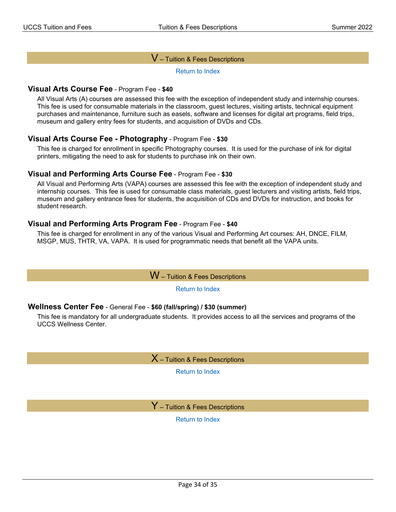#### $\mathsf{V}$  – Tuition & Fees Descriptions

[Return to Index](#page-21-0)

#### <span id="page-33-0"></span>**Visual Arts Course Fee** - Program Fee - **\$40**

All Visual Arts (A) courses are assessed this fee with the exception of independent study and internship courses. This fee is used for consumable materials in the classroom, guest lectures, visiting artists, technical equipment purchases and maintenance, furniture such as easels, software and licenses for digital art programs, field trips, museum and gallery entry fees for students, and acquisition of DVDs and CDs.

### **Visual Arts Course Fee - Photography** - Program Fee - **\$30**

This fee is charged for enrollment in specific Photography courses. It is used for the purchase of ink for digital printers, mitigating the need to ask for students to purchase ink on their own.

#### **Visual and Performing Arts Course Fee** - Program Fee - **\$30**

All Visual and Performing Arts (VAPA) courses are assessed this fee with the exception of independent study and internship courses. This fee is used for consumable class materials, guest lecturers and visiting artists, field trips, museum and gallery entrance fees for students, the acquisition of CDs and DVDs for instruction, and books for student research.

### **Visual and Performing Arts Program Fee** - Program Fee - **\$40**

<span id="page-33-1"></span>This fee is charged for enrollment in any of the various Visual and Performing Art courses: AH, DNCE, FILM, MSGP, MUS, THTR, VA, VAPA. It is used for programmatic needs that benefit all the VAPA units.

W – Tuition & Fees Descriptions

[Return to Index](#page-21-0)

#### **Wellness Center Fee** - General Fee - **\$60 (fall/spring) / \$30 (summer)**

<span id="page-33-3"></span><span id="page-33-2"></span>This fee is mandatory for all undergraduate students. It provides access to all the services and programs of the UCCS Wellness Center.

 $\mathsf{X}\,$  – Tuition & Fees Descriptions

[Return to Index](#page-21-0)

 $\mathsf{Y}$  – Tuition & Fees Descriptions

[Return to Index](#page-21-0)